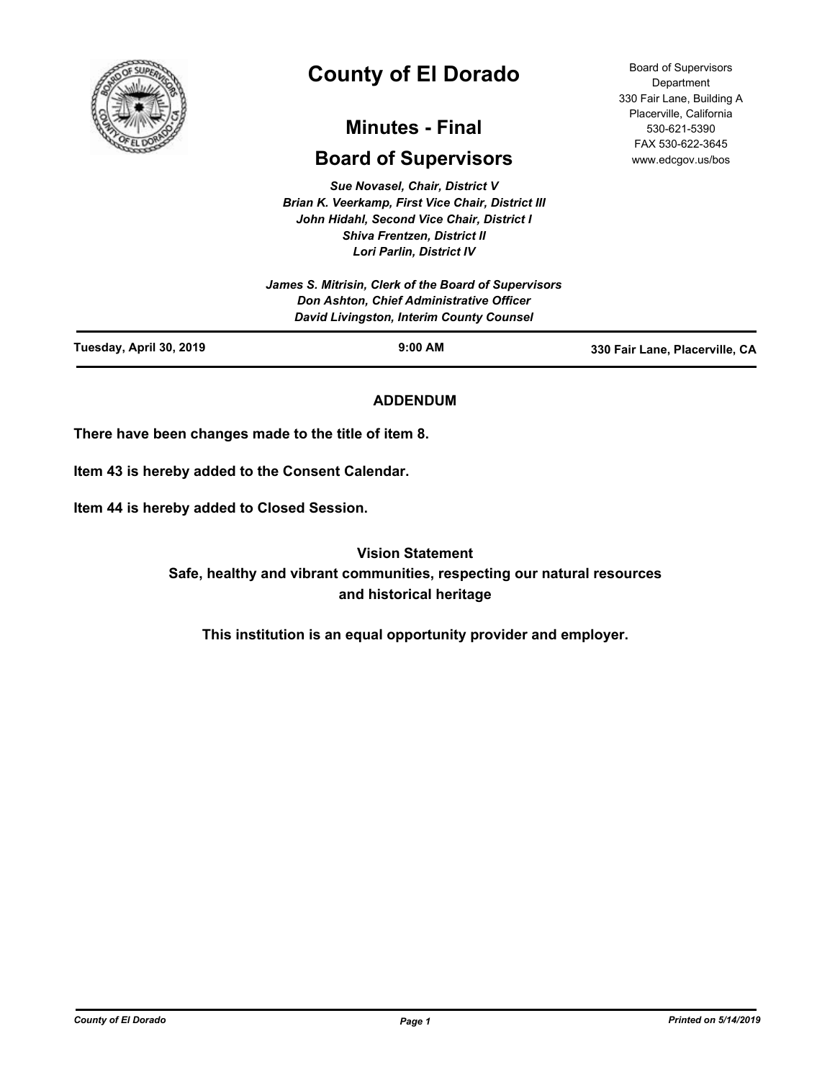

# **County of El Dorado**

# **Minutes - Final**

# **Board of Supervisors**

*Sue Novasel, Chair, District V Brian K. Veerkamp, First Vice Chair, District III John Hidahl, Second Vice Chair, District I Shiva Frentzen, District II Lori Parlin, District IV*

*James S. Mitrisin, Clerk of the Board of Supervisors Don Ashton, Chief Administrative Officer David Livingston, Interim County Counsel*

Board of Supervisors **Department** 330 Fair Lane, Building A Placerville, California 530-621-5390 FAX 530-622-3645 www.edcgov.us/bos

| Tuesday, April 30, 2019 | $9:00$ AM | 330 Fair Lane, Placerville, CA |
|-------------------------|-----------|--------------------------------|
|                         |           |                                |

# **ADDENDUM**

**There have been changes made to the title of item 8.**

**Item 43 is hereby added to the Consent Calendar.**

**Item 44 is hereby added to Closed Session.**

**Vision Statement Safe, healthy and vibrant communities, respecting our natural resources and historical heritage**

**This institution is an equal opportunity provider and employer.**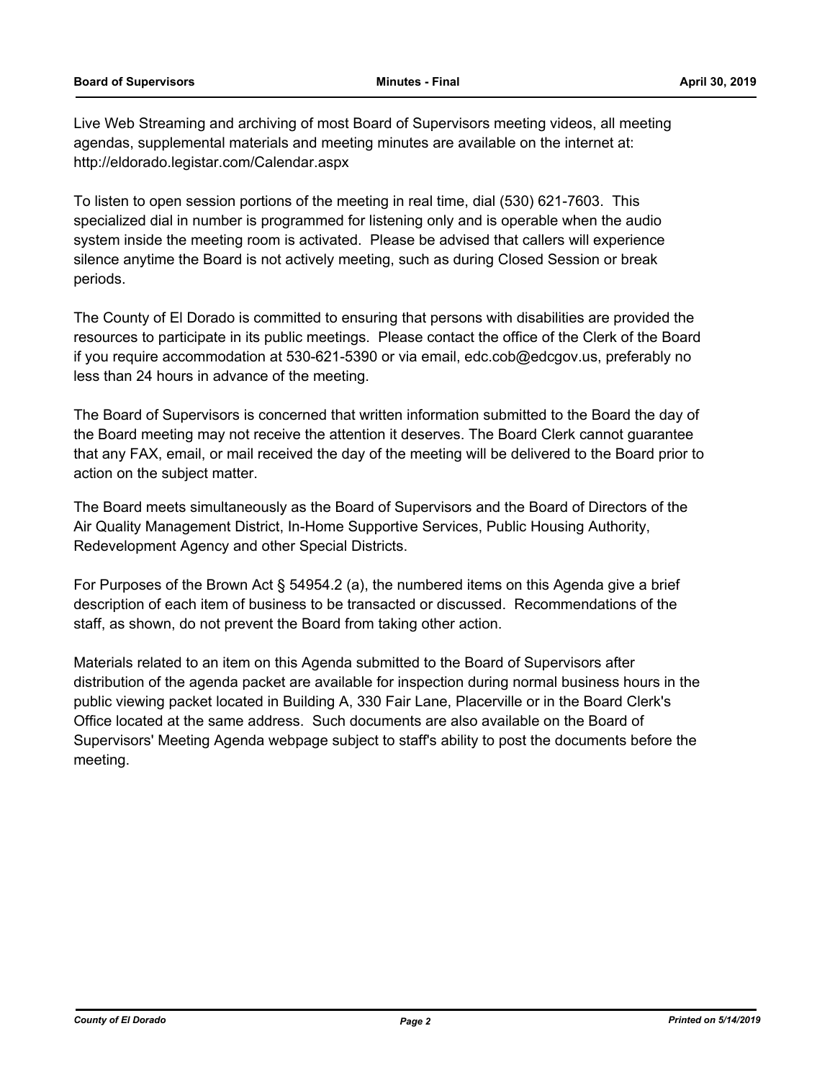Live Web Streaming and archiving of most Board of Supervisors meeting videos, all meeting agendas, supplemental materials and meeting minutes are available on the internet at: http://eldorado.legistar.com/Calendar.aspx

To listen to open session portions of the meeting in real time, dial (530) 621-7603. This specialized dial in number is programmed for listening only and is operable when the audio system inside the meeting room is activated. Please be advised that callers will experience silence anytime the Board is not actively meeting, such as during Closed Session or break periods.

The County of El Dorado is committed to ensuring that persons with disabilities are provided the resources to participate in its public meetings. Please contact the office of the Clerk of the Board if you require accommodation at 530-621-5390 or via email, edc.cob@edcgov.us, preferably no less than 24 hours in advance of the meeting.

The Board of Supervisors is concerned that written information submitted to the Board the day of the Board meeting may not receive the attention it deserves. The Board Clerk cannot guarantee that any FAX, email, or mail received the day of the meeting will be delivered to the Board prior to action on the subject matter.

The Board meets simultaneously as the Board of Supervisors and the Board of Directors of the Air Quality Management District, In-Home Supportive Services, Public Housing Authority, Redevelopment Agency and other Special Districts.

For Purposes of the Brown Act § 54954.2 (a), the numbered items on this Agenda give a brief description of each item of business to be transacted or discussed. Recommendations of the staff, as shown, do not prevent the Board from taking other action.

Materials related to an item on this Agenda submitted to the Board of Supervisors after distribution of the agenda packet are available for inspection during normal business hours in the public viewing packet located in Building A, 330 Fair Lane, Placerville or in the Board Clerk's Office located at the same address. Such documents are also available on the Board of Supervisors' Meeting Agenda webpage subject to staff's ability to post the documents before the meeting.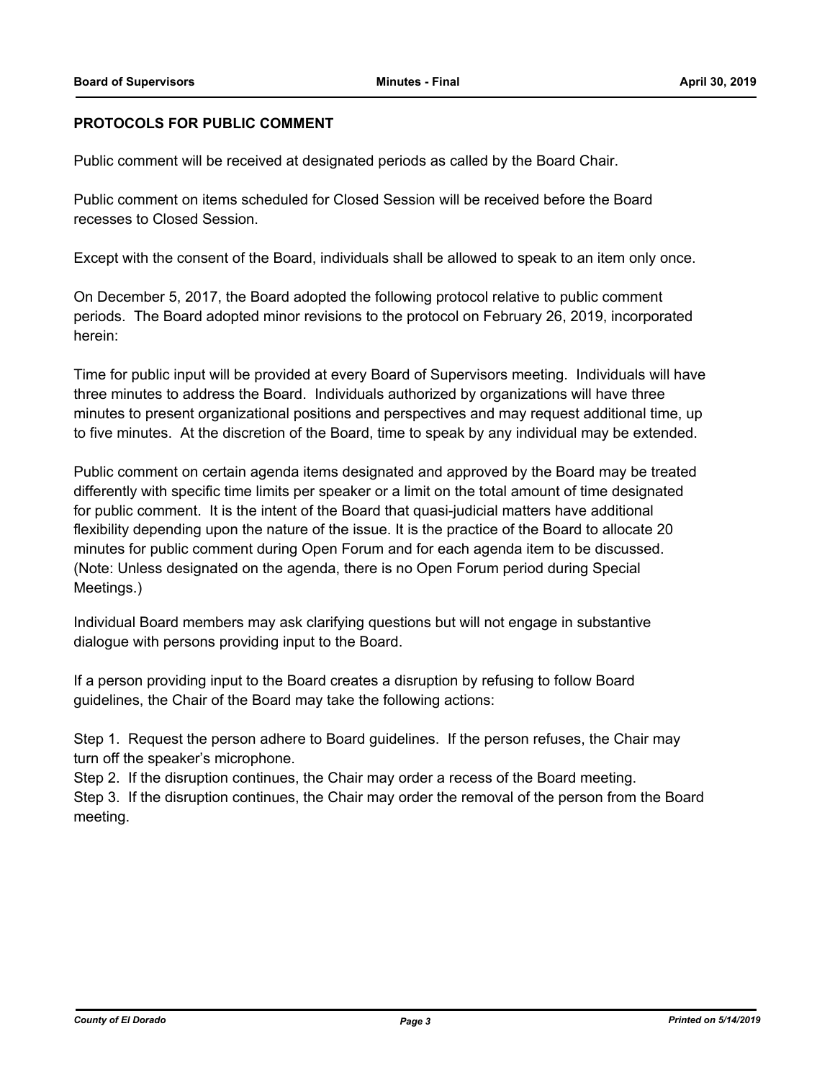### **PROTOCOLS FOR PUBLIC COMMENT**

Public comment will be received at designated periods as called by the Board Chair.

Public comment on items scheduled for Closed Session will be received before the Board recesses to Closed Session.

Except with the consent of the Board, individuals shall be allowed to speak to an item only once.

On December 5, 2017, the Board adopted the following protocol relative to public comment periods. The Board adopted minor revisions to the protocol on February 26, 2019, incorporated herein:

Time for public input will be provided at every Board of Supervisors meeting. Individuals will have three minutes to address the Board. Individuals authorized by organizations will have three minutes to present organizational positions and perspectives and may request additional time, up to five minutes. At the discretion of the Board, time to speak by any individual may be extended.

Public comment on certain agenda items designated and approved by the Board may be treated differently with specific time limits per speaker or a limit on the total amount of time designated for public comment. It is the intent of the Board that quasi-judicial matters have additional flexibility depending upon the nature of the issue. It is the practice of the Board to allocate 20 minutes for public comment during Open Forum and for each agenda item to be discussed. (Note: Unless designated on the agenda, there is no Open Forum period during Special Meetings.)

Individual Board members may ask clarifying questions but will not engage in substantive dialogue with persons providing input to the Board.

If a person providing input to the Board creates a disruption by refusing to follow Board guidelines, the Chair of the Board may take the following actions:

Step 1. Request the person adhere to Board guidelines. If the person refuses, the Chair may turn off the speaker's microphone.

Step 2. If the disruption continues, the Chair may order a recess of the Board meeting.

Step 3. If the disruption continues, the Chair may order the removal of the person from the Board meeting.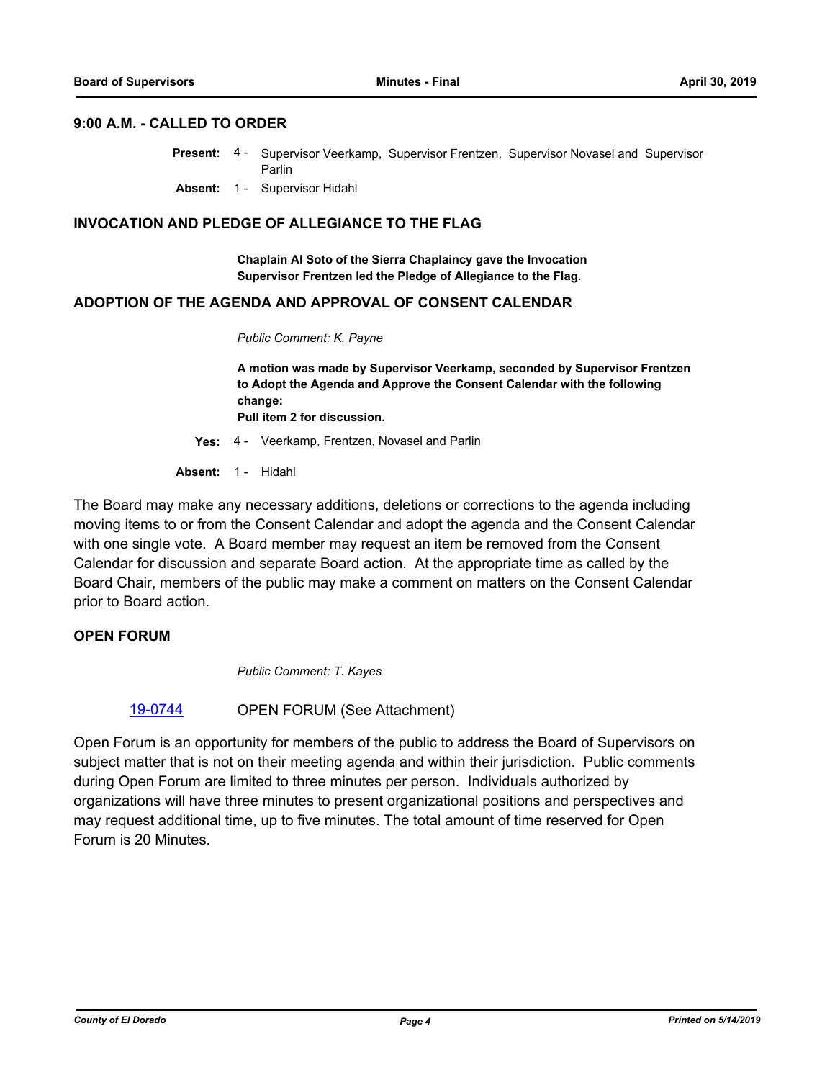#### **9:00 A.M. - CALLED TO ORDER**

- Present: 4 Supervisor Veerkamp, Supervisor Frentzen, Supervisor Novasel and Supervisor Parlin
	- **Absent:** 1 Supervisor Hidahl

#### **INVOCATION AND PLEDGE OF ALLEGIANCE TO THE FLAG**

**Chaplain Al Soto of the Sierra Chaplaincy gave the Invocation Supervisor Frentzen led the Pledge of Allegiance to the Flag.**

#### **ADOPTION OF THE AGENDA AND APPROVAL OF CONSENT CALENDAR**

*Public Comment: K. Payne*

**A motion was made by Supervisor Veerkamp, seconded by Supervisor Frentzen to Adopt the Agenda and Approve the Consent Calendar with the following change: Pull item 2 for discussion.**

**Yes:** 4 - Veerkamp, Frentzen, Novasel and Parlin

**Absent:** 1 - Hidahl

The Board may make any necessary additions, deletions or corrections to the agenda including moving items to or from the Consent Calendar and adopt the agenda and the Consent Calendar with one single vote. A Board member may request an item be removed from the Consent Calendar for discussion and separate Board action. At the appropriate time as called by the Board Chair, members of the public may make a comment on matters on the Consent Calendar prior to Board action.

#### **OPEN FORUM**

*Public Comment: T. Kayes*

[19-0744](http://eldorado.legistar.com/gateway.aspx?m=l&id=/matter.aspx?key=26066) OPEN FORUM (See Attachment)

Open Forum is an opportunity for members of the public to address the Board of Supervisors on subject matter that is not on their meeting agenda and within their jurisdiction. Public comments during Open Forum are limited to three minutes per person. Individuals authorized by organizations will have three minutes to present organizational positions and perspectives and may request additional time, up to five minutes. The total amount of time reserved for Open Forum is 20 Minutes.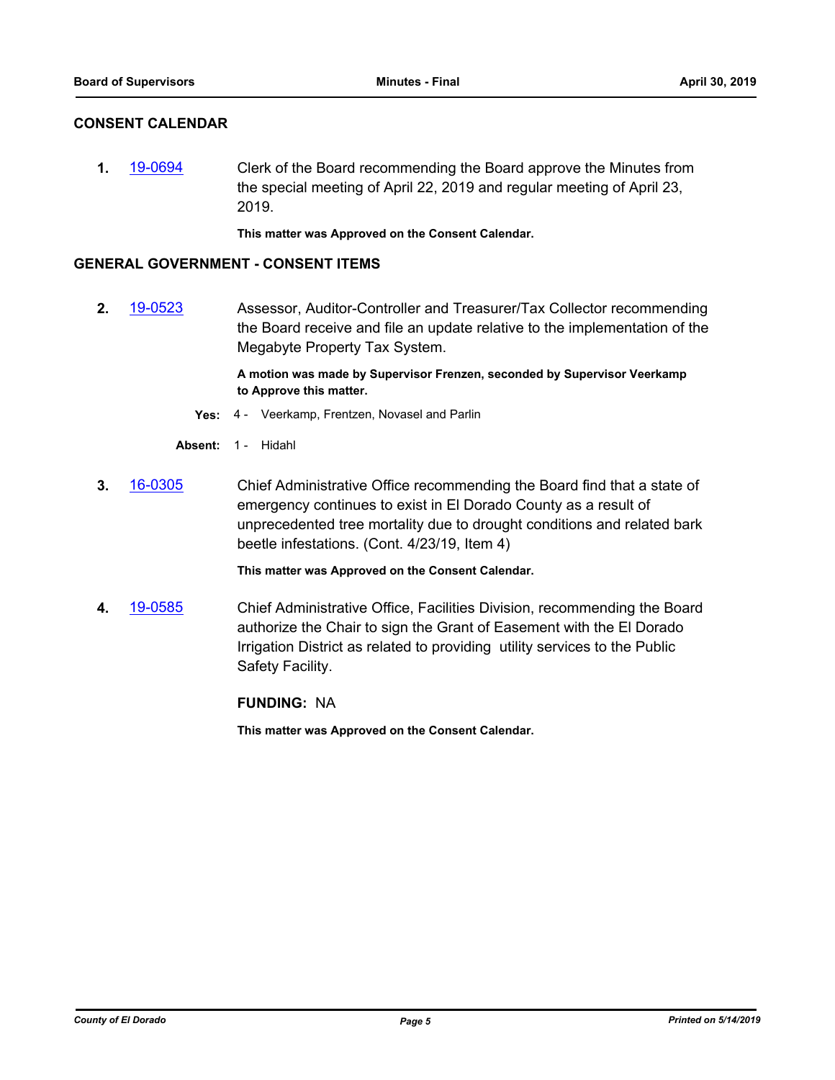# **CONSENT CALENDAR**

**1.** [19-0694](http://eldorado.legistar.com/gateway.aspx?m=l&id=/matter.aspx?key=26016) Clerk of the Board recommending the Board approve the Minutes from the special meeting of April 22, 2019 and regular meeting of April 23, 2019.

**This matter was Approved on the Consent Calendar.**

#### **GENERAL GOVERNMENT - CONSENT ITEMS**

**2.** [19-0523](http://eldorado.legistar.com/gateway.aspx?m=l&id=/matter.aspx?key=25844) Assessor, Auditor-Controller and Treasurer/Tax Collector recommending the Board receive and file an update relative to the implementation of the Megabyte Property Tax System.

> **A motion was made by Supervisor Frenzen, seconded by Supervisor Veerkamp to Approve this matter.**

- **Yes:** 4 Veerkamp, Frentzen, Novasel and Parlin
- **Absent:** 1 Hidahl
- **3.** [16-0305](http://eldorado.legistar.com/gateway.aspx?m=l&id=/matter.aspx?key=20961) Chief Administrative Office recommending the Board find that a state of emergency continues to exist in El Dorado County as a result of unprecedented tree mortality due to drought conditions and related bark beetle infestations. (Cont. 4/23/19, Item 4)

**This matter was Approved on the Consent Calendar.**

**4.** [19-0585](http://eldorado.legistar.com/gateway.aspx?m=l&id=/matter.aspx?key=25906) Chief Administrative Office, Facilities Division, recommending the Board authorize the Chair to sign the Grant of Easement with the El Dorado Irrigation District as related to providing utility services to the Public Safety Facility.

**FUNDING:** NA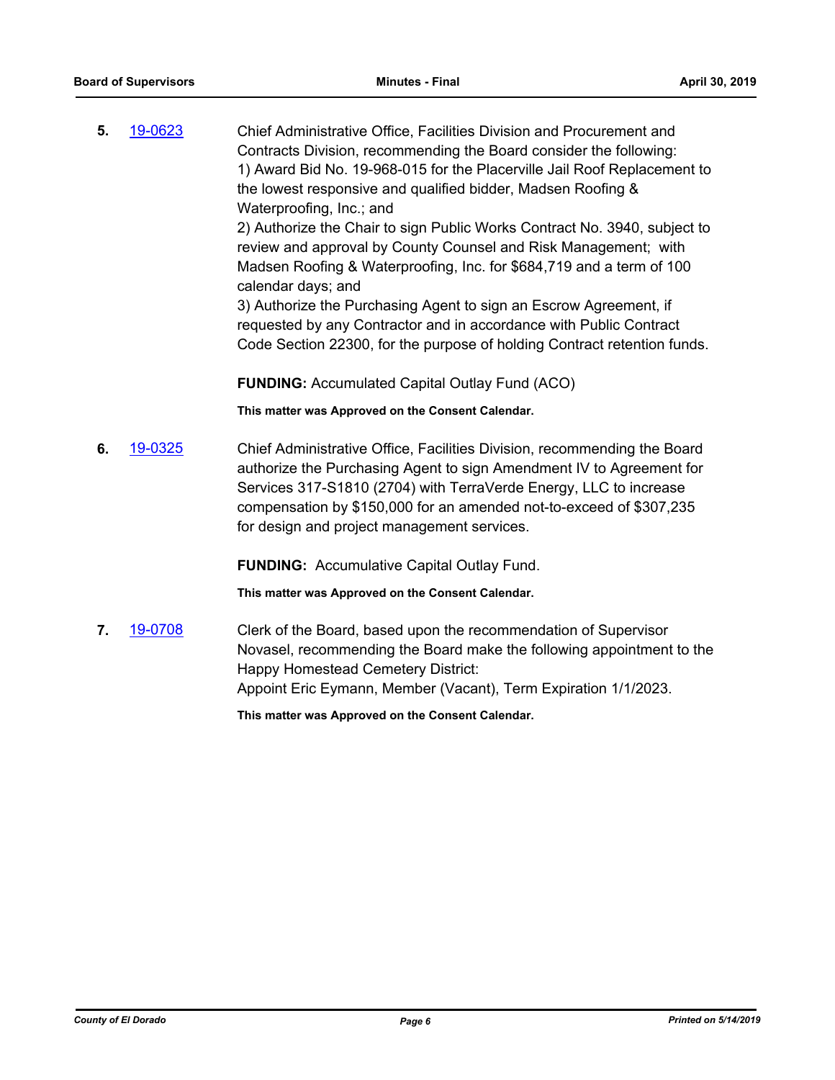**5.** [19-0623](http://eldorado.legistar.com/gateway.aspx?m=l&id=/matter.aspx?key=25944) Chief Administrative Office, Facilities Division and Procurement and Contracts Division, recommending the Board consider the following: 1) Award Bid No. 19-968-015 for the Placerville Jail Roof Replacement to the lowest responsive and qualified bidder, Madsen Roofing & Waterproofing, Inc.; and 2) Authorize the Chair to sign Public Works Contract No. 3940, subject to review and approval by County Counsel and Risk Management; with Madsen Roofing & Waterproofing, Inc. for \$684,719 and a term of 100 calendar days; and 3) Authorize the Purchasing Agent to sign an Escrow Agreement, if requested by any Contractor and in accordance with Public Contract Code Section 22300, for the purpose of holding Contract retention funds.

**FUNDING:** Accumulated Capital Outlay Fund (ACO)

**This matter was Approved on the Consent Calendar.**

**6.** [19-0325](http://eldorado.legistar.com/gateway.aspx?m=l&id=/matter.aspx?key=25646) Chief Administrative Office, Facilities Division, recommending the Board authorize the Purchasing Agent to sign Amendment IV to Agreement for Services 317-S1810 (2704) with TerraVerde Energy, LLC to increase compensation by \$150,000 for an amended not-to-exceed of \$307,235 for design and project management services.

**FUNDING:** Accumulative Capital Outlay Fund.

**This matter was Approved on the Consent Calendar.**

**7.** [19-0708](http://eldorado.legistar.com/gateway.aspx?m=l&id=/matter.aspx?key=26030) Clerk of the Board, based upon the recommendation of Supervisor Novasel, recommending the Board make the following appointment to the Happy Homestead Cemetery District: Appoint Eric Eymann, Member (Vacant), Term Expiration 1/1/2023.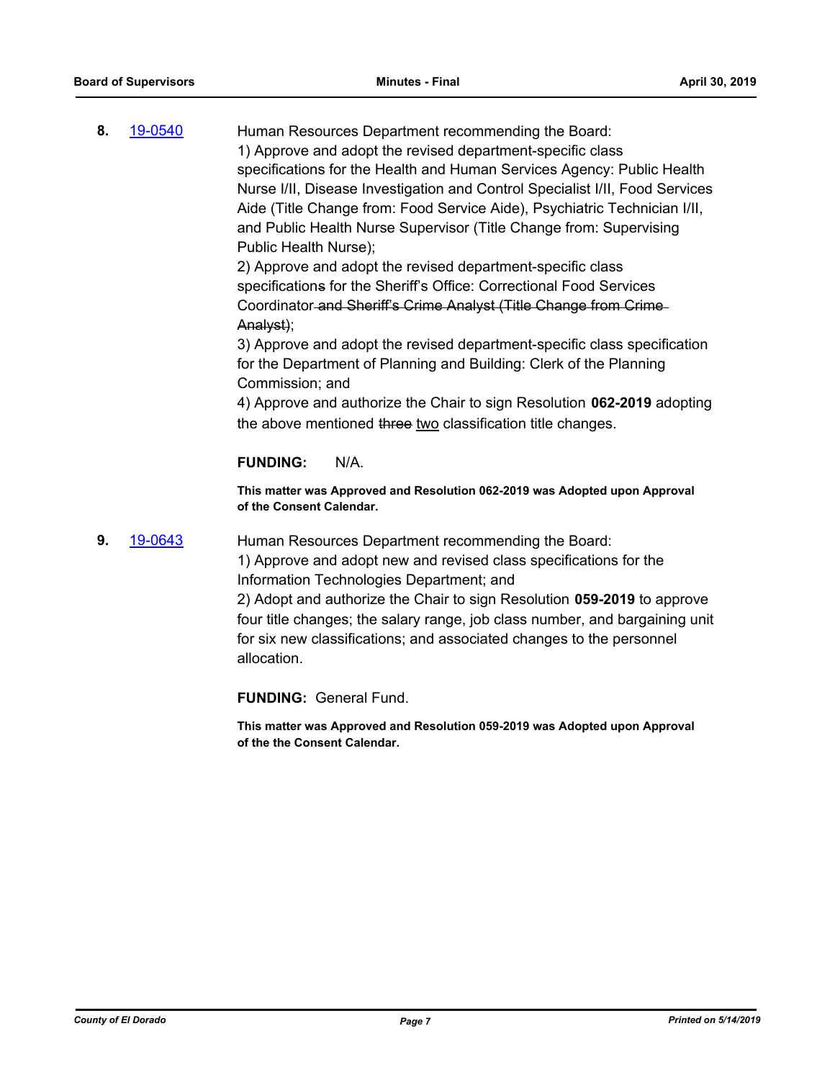**8.** [19-0540](http://eldorado.legistar.com/gateway.aspx?m=l&id=/matter.aspx?key=25861) Human Resources Department recommending the Board: 1) Approve and adopt the revised department-specific class specifications for the Health and Human Services Agency: Public Health Nurse I/II, Disease Investigation and Control Specialist I/II, Food Services Aide (Title Change from: Food Service Aide), Psychiatric Technician I/II, and Public Health Nurse Supervisor (Title Change from: Supervising Public Health Nurse);

2) Approve and adopt the revised department-specific class specifications for the Sheriff's Office: Correctional Food Services Coordinator and Sheriff's Crime Analyst (Title Change from Crime Analyst);

3) Approve and adopt the revised department-specific class specification for the Department of Planning and Building: Clerk of the Planning Commission; and

4) Approve and authorize the Chair to sign Resolution **062-2019** adopting the above mentioned three two classification title changes.

# **FUNDING:** N/A.

**This matter was Approved and Resolution 062-2019 was Adopted upon Approval of the Consent Calendar.**

# **9.** [19-0643](http://eldorado.legistar.com/gateway.aspx?m=l&id=/matter.aspx?key=25965) Human Resources Department recommending the Board:

1) Approve and adopt new and revised class specifications for the Information Technologies Department; and

2) Adopt and authorize the Chair to sign Resolution **059-2019** to approve four title changes; the salary range, job class number, and bargaining unit for six new classifications; and associated changes to the personnel allocation.

**FUNDING:** General Fund.

**This matter was Approved and Resolution 059-2019 was Adopted upon Approval of the the Consent Calendar.**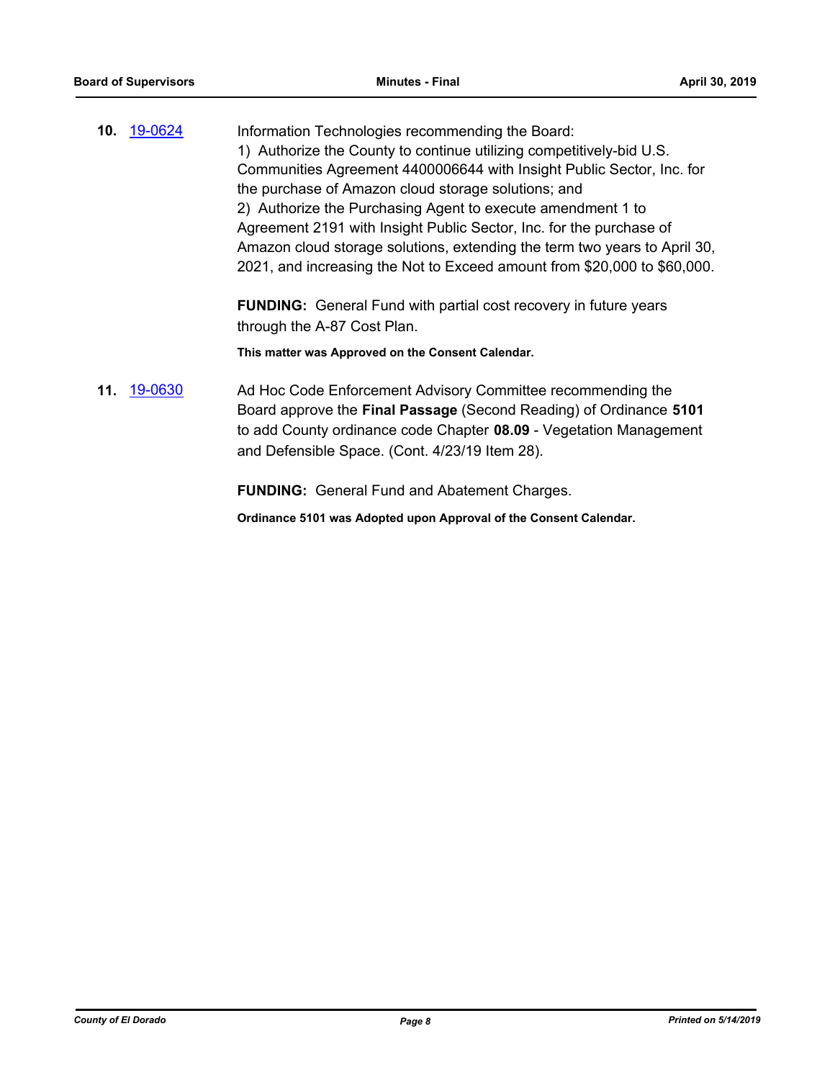**10.** [19-0624](http://eldorado.legistar.com/gateway.aspx?m=l&id=/matter.aspx?key=25946) Information Technologies recommending the Board: 1) Authorize the County to continue utilizing competitively-bid U.S. Communities Agreement 4400006644 with Insight Public Sector, Inc. for the purchase of Amazon cloud storage solutions; and 2) Authorize the Purchasing Agent to execute amendment 1 to Agreement 2191 with Insight Public Sector, Inc. for the purchase of Amazon cloud storage solutions, extending the term two years to April 30, 2021, and increasing the Not to Exceed amount from \$20,000 to \$60,000.

> **FUNDING:** General Fund with partial cost recovery in future years through the A-87 Cost Plan.

**This matter was Approved on the Consent Calendar.**

**11.** [19-0630](http://eldorado.legistar.com/gateway.aspx?m=l&id=/matter.aspx?key=25952) Ad Hoc Code Enforcement Advisory Committee recommending the Board approve the **Final Passage** (Second Reading) of Ordinance **5101**  to add County ordinance code Chapter **08.09** - Vegetation Management and Defensible Space. (Cont. 4/23/19 Item 28).

**FUNDING:** General Fund and Abatement Charges.

**Ordinance 5101 was Adopted upon Approval of the Consent Calendar.**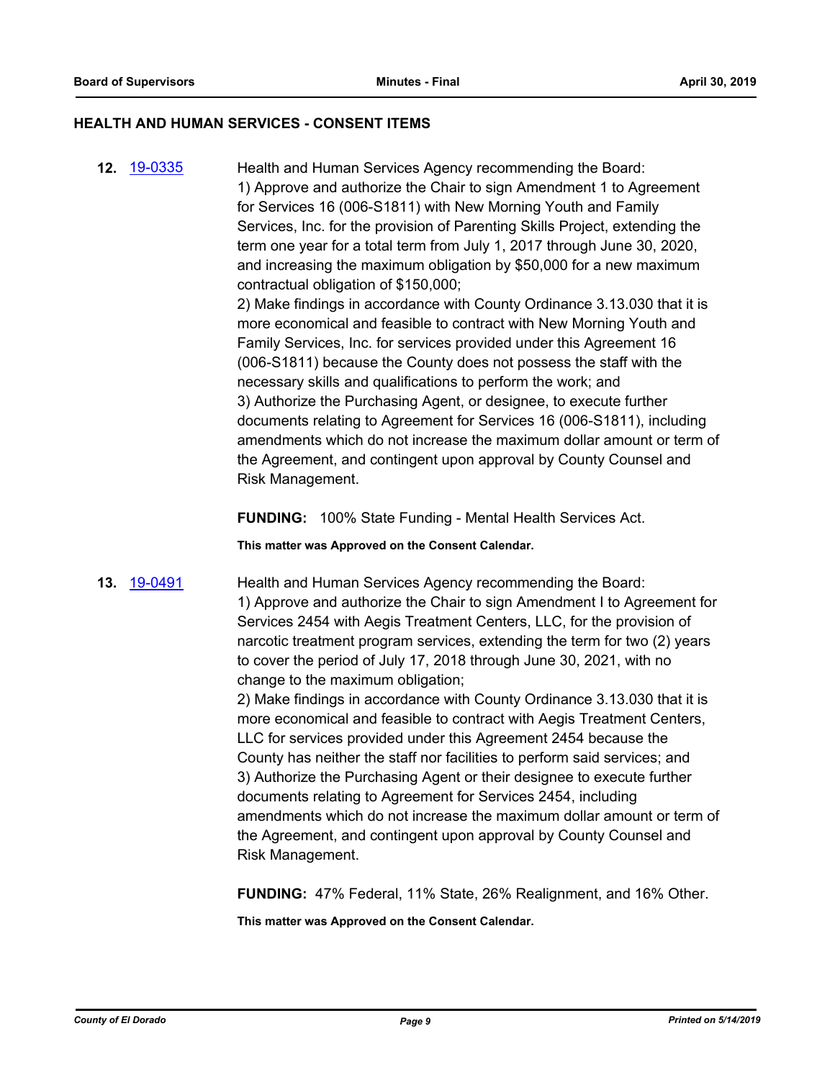#### **HEALTH AND HUMAN SERVICES - CONSENT ITEMS**

**12.** [19-0335](http://eldorado.legistar.com/gateway.aspx?m=l&id=/matter.aspx?key=25656) Health and Human Services Agency recommending the Board: 1) Approve and authorize the Chair to sign Amendment 1 to Agreement for Services 16 (006-S1811) with New Morning Youth and Family Services, Inc. for the provision of Parenting Skills Project, extending the term one year for a total term from July 1, 2017 through June 30, 2020, and increasing the maximum obligation by \$50,000 for a new maximum contractual obligation of \$150,000; 2) Make findings in accordance with County Ordinance 3.13.030 that it is more economical and feasible to contract with New Morning Youth and Family Services, Inc. for services provided under this Agreement 16 (006-S1811) because the County does not possess the staff with the necessary skills and qualifications to perform the work; and 3) Authorize the Purchasing Agent, or designee, to execute further documents relating to Agreement for Services 16 (006-S1811), including amendments which do not increase the maximum dollar amount or term of the Agreement, and contingent upon approval by County Counsel and

**FUNDING:** 100% State Funding - Mental Health Services Act.

**This matter was Approved on the Consent Calendar.**

Risk Management.

**13.** [19-0491](http://eldorado.legistar.com/gateway.aspx?m=l&id=/matter.aspx?key=25812) Health and Human Services Agency recommending the Board: 1) Approve and authorize the Chair to sign Amendment I to Agreement for Services 2454 with Aegis Treatment Centers, LLC, for the provision of narcotic treatment program services, extending the term for two (2) years to cover the period of July 17, 2018 through June 30, 2021, with no change to the maximum obligation;

> 2) Make findings in accordance with County Ordinance 3.13.030 that it is more economical and feasible to contract with Aegis Treatment Centers, LLC for services provided under this Agreement 2454 because the County has neither the staff nor facilities to perform said services; and 3) Authorize the Purchasing Agent or their designee to execute further documents relating to Agreement for Services 2454, including amendments which do not increase the maximum dollar amount or term of the Agreement, and contingent upon approval by County Counsel and Risk Management.

**FUNDING:** 47% Federal, 11% State, 26% Realignment, and 16% Other.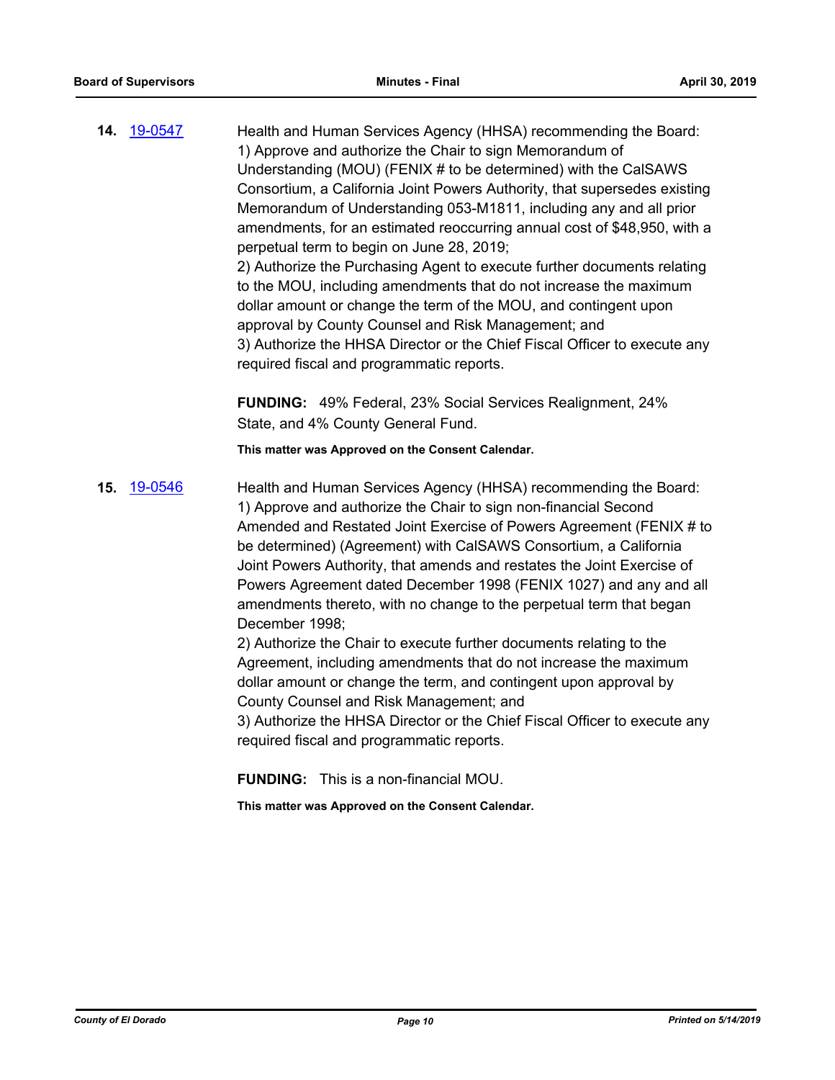**14.** [19-0547](http://eldorado.legistar.com/gateway.aspx?m=l&id=/matter.aspx?key=25868) Health and Human Services Agency (HHSA) recommending the Board: 1) Approve and authorize the Chair to sign Memorandum of Understanding (MOU) (FENIX # to be determined) with the CalSAWS Consortium, a California Joint Powers Authority, that supersedes existing Memorandum of Understanding 053-M1811, including any and all prior amendments, for an estimated reoccurring annual cost of \$48,950, with a perpetual term to begin on June 28, 2019; 2) Authorize the Purchasing Agent to execute further documents relating to the MOU, including amendments that do not increase the maximum dollar amount or change the term of the MOU, and contingent upon approval by County Counsel and Risk Management; and 3) Authorize the HHSA Director or the Chief Fiscal Officer to execute any required fiscal and programmatic reports.

> **FUNDING:** 49% Federal, 23% Social Services Realignment, 24% State, and 4% County General Fund.

**This matter was Approved on the Consent Calendar.**

**15.** [19-0546](http://eldorado.legistar.com/gateway.aspx?m=l&id=/matter.aspx?key=25867) Health and Human Services Agency (HHSA) recommending the Board: 1) Approve and authorize the Chair to sign non-financial Second Amended and Restated Joint Exercise of Powers Agreement (FENIX # to be determined) (Agreement) with CalSAWS Consortium, a California Joint Powers Authority, that amends and restates the Joint Exercise of Powers Agreement dated December 1998 (FENIX 1027) and any and all amendments thereto, with no change to the perpetual term that began December 1998; 2) Authorize the Chair to execute further documents relating to the

Agreement, including amendments that do not increase the maximum dollar amount or change the term, and contingent upon approval by County Counsel and Risk Management; and

3) Authorize the HHSA Director or the Chief Fiscal Officer to execute any required fiscal and programmatic reports.

**FUNDING:** This is a non-financial MOU.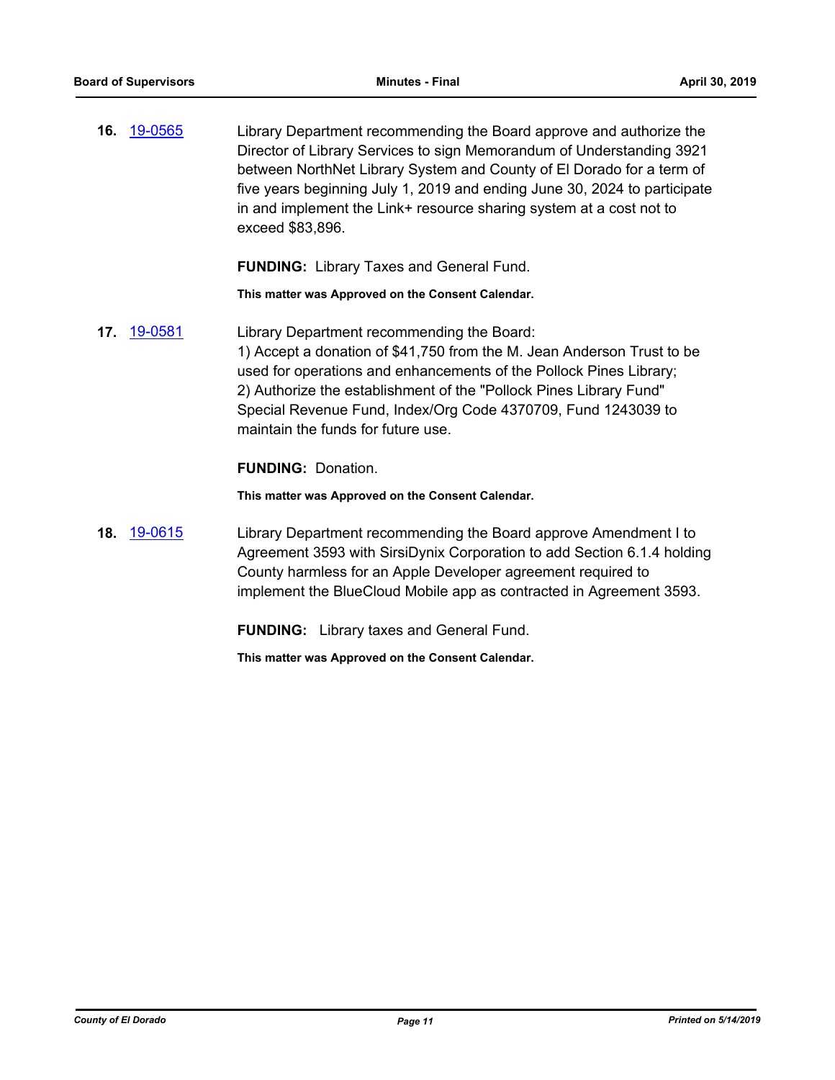**16.** [19-0565](http://eldorado.legistar.com/gateway.aspx?m=l&id=/matter.aspx?key=25886) Library Department recommending the Board approve and authorize the Director of Library Services to sign Memorandum of Understanding 3921 between NorthNet Library System and County of El Dorado for a term of five years beginning July 1, 2019 and ending June 30, 2024 to participate in and implement the Link+ resource sharing system at a cost not to exceed \$83,896.

**FUNDING:** Library Taxes and General Fund.

**This matter was Approved on the Consent Calendar.**

**17.** [19-0581](http://eldorado.legistar.com/gateway.aspx?m=l&id=/matter.aspx?key=25902) Library Department recommending the Board: 1) Accept a donation of \$41,750 from the M. Jean Anderson Trust to be used for operations and enhancements of the Pollock Pines Library; 2) Authorize the establishment of the "Pollock Pines Library Fund" Special Revenue Fund, Index/Org Code 4370709, Fund 1243039 to maintain the funds for future use.

**FUNDING:** Donation.

**This matter was Approved on the Consent Calendar.**

**18.** [19-0615](http://eldorado.legistar.com/gateway.aspx?m=l&id=/matter.aspx?key=25936) Library Department recommending the Board approve Amendment I to Agreement 3593 with SirsiDynix Corporation to add Section 6.1.4 holding County harmless for an Apple Developer agreement required to implement the BlueCloud Mobile app as contracted in Agreement 3593.

**FUNDING:** Library taxes and General Fund.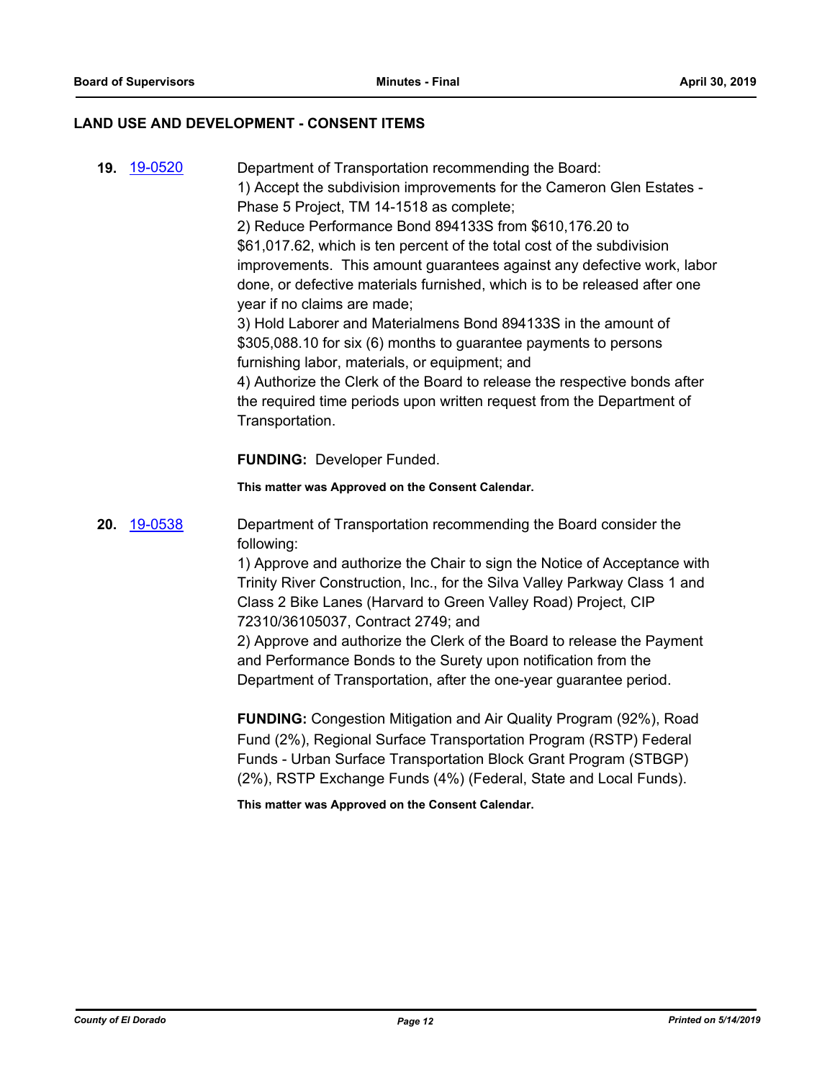# **LAND USE AND DEVELOPMENT - CONSENT ITEMS**

| 19. 19-0520 | Department of Transportation recommending the Board:<br>1) Accept the subdivision improvements for the Cameron Glen Estates -<br>Phase 5 Project, TM 14-1518 as complete;<br>2) Reduce Performance Bond 894133S from \$610,176.20 to<br>\$61,017.62, which is ten percent of the total cost of the subdivision<br>improvements. This amount guarantees against any defective work, labor<br>done, or defective materials furnished, which is to be released after one<br>year if no claims are made;<br>3) Hold Laborer and Materialmens Bond 894133S in the amount of<br>\$305,088.10 for six (6) months to guarantee payments to persons<br>furnishing labor, materials, or equipment; and<br>4) Authorize the Clerk of the Board to release the respective bonds after<br>the required time periods upon written request from the Department of<br>Transportation.<br><b>FUNDING: Developer Funded.</b> |
|-------------|------------------------------------------------------------------------------------------------------------------------------------------------------------------------------------------------------------------------------------------------------------------------------------------------------------------------------------------------------------------------------------------------------------------------------------------------------------------------------------------------------------------------------------------------------------------------------------------------------------------------------------------------------------------------------------------------------------------------------------------------------------------------------------------------------------------------------------------------------------------------------------------------------------|
|             | This matter was Approved on the Consent Calendar.                                                                                                                                                                                                                                                                                                                                                                                                                                                                                                                                                                                                                                                                                                                                                                                                                                                          |
| 20. 19-0538 | Department of Transportation recommending the Board consider the                                                                                                                                                                                                                                                                                                                                                                                                                                                                                                                                                                                                                                                                                                                                                                                                                                           |
|             | following:                                                                                                                                                                                                                                                                                                                                                                                                                                                                                                                                                                                                                                                                                                                                                                                                                                                                                                 |
|             | 1) Approve and authorize the Chair to sign the Notice of Acceptance with<br>Trinity River Construction, Inc., for the Silva Valley Parkway Class 1 and<br>Class 2 Bike Lanes (Harvard to Green Valley Road) Project, CIP<br>72310/36105037, Contract 2749; and                                                                                                                                                                                                                                                                                                                                                                                                                                                                                                                                                                                                                                             |
|             | 2) Approve and authorize the Clerk of the Board to release the Payment<br>and Performance Bonds to the Surety upon notification from the<br>Department of Transportation, after the one-year guarantee period.                                                                                                                                                                                                                                                                                                                                                                                                                                                                                                                                                                                                                                                                                             |
|             | FUNDING: Congestion Mitigation and Air Quality Program (92%), Road<br>Fund (2%), Regional Surface Transportation Program (RSTP) Federal<br>Funds - Urban Surface Transportation Block Grant Program (STBGP)<br>(2%), RSTP Exchange Funds (4%) (Federal, State and Local Funds).                                                                                                                                                                                                                                                                                                                                                                                                                                                                                                                                                                                                                            |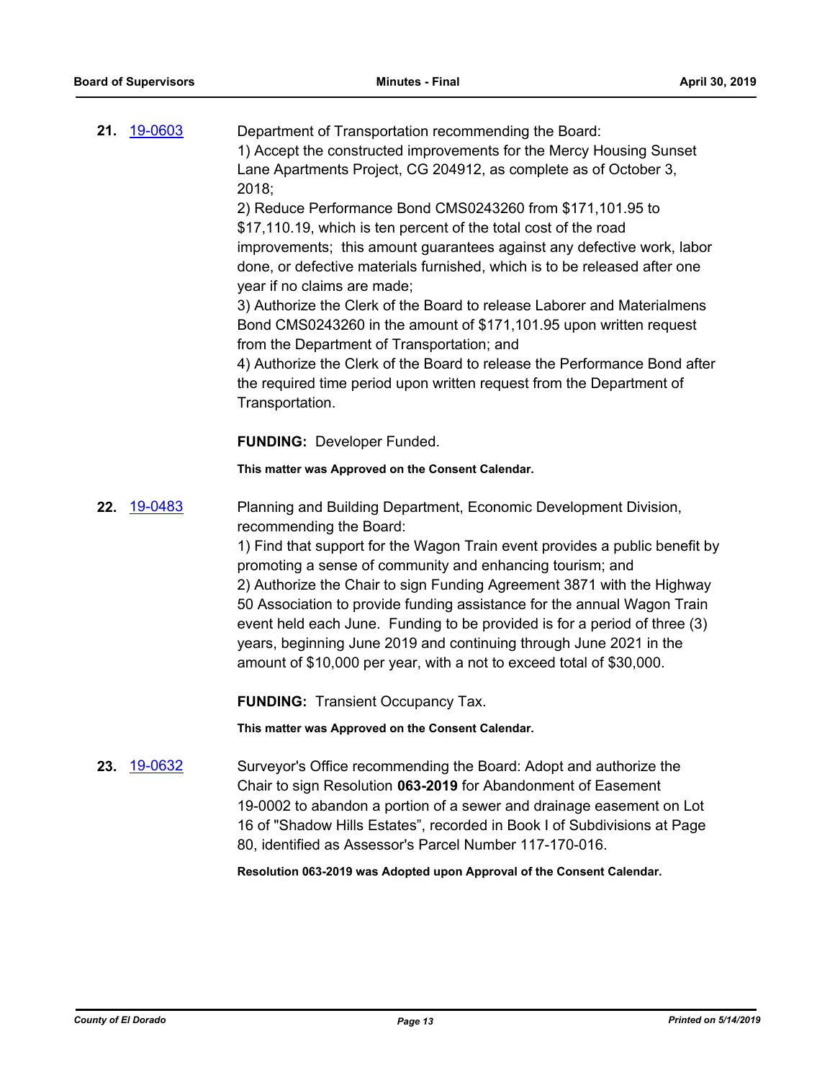|     | 21. 19-0603        | Department of Transportation recommending the Board:<br>1) Accept the constructed improvements for the Mercy Housing Sunset<br>Lane Apartments Project, CG 204912, as complete as of October 3,<br>2018;<br>2) Reduce Performance Bond CMS0243260 from \$171,101.95 to<br>\$17,110.19, which is ten percent of the total cost of the road<br>improvements; this amount guarantees against any defective work, labor<br>done, or defective materials furnished, which is to be released after one<br>year if no claims are made;<br>3) Authorize the Clerk of the Board to release Laborer and Materialmens<br>Bond CMS0243260 in the amount of \$171,101.95 upon written request<br>from the Department of Transportation; and<br>4) Authorize the Clerk of the Board to release the Performance Bond after<br>the required time period upon written request from the Department of<br>Transportation.<br><b>FUNDING: Developer Funded.</b> |
|-----|--------------------|---------------------------------------------------------------------------------------------------------------------------------------------------------------------------------------------------------------------------------------------------------------------------------------------------------------------------------------------------------------------------------------------------------------------------------------------------------------------------------------------------------------------------------------------------------------------------------------------------------------------------------------------------------------------------------------------------------------------------------------------------------------------------------------------------------------------------------------------------------------------------------------------------------------------------------------------|
|     |                    | This matter was Approved on the Consent Calendar.                                                                                                                                                                                                                                                                                                                                                                                                                                                                                                                                                                                                                                                                                                                                                                                                                                                                                           |
|     | <b>22.</b> 19-0483 | Planning and Building Department, Economic Development Division,<br>recommending the Board:<br>1) Find that support for the Wagon Train event provides a public benefit by<br>promoting a sense of community and enhancing tourism; and<br>2) Authorize the Chair to sign Funding Agreement 3871 with the Highway<br>50 Association to provide funding assistance for the annual Wagon Train<br>event held each June. Funding to be provided is for a period of three (3)<br>years, beginning June 2019 and continuing through June 2021 in the<br>amount of \$10,000 per year, with a not to exceed total of \$30,000.                                                                                                                                                                                                                                                                                                                     |
|     |                    | <b>FUNDING: Transient Occupancy Tax.</b>                                                                                                                                                                                                                                                                                                                                                                                                                                                                                                                                                                                                                                                                                                                                                                                                                                                                                                    |
|     |                    | This matter was Approved on the Consent Calendar.                                                                                                                                                                                                                                                                                                                                                                                                                                                                                                                                                                                                                                                                                                                                                                                                                                                                                           |
| 23. | 19-0632            | Surveyor's Office recommending the Board: Adopt and authorize the<br>Chair to sign Resolution 063-2019 for Abandonment of Easement<br>19-0002 to abandon a portion of a sewer and drainage easement on Lot<br>16 of "Shadow Hills Estates", recorded in Book I of Subdivisions at Page<br>80, identified as Assessor's Parcel Number 117-170-016.<br>Resolution 063-2019 was Adopted upon Approval of the Consent Calendar.                                                                                                                                                                                                                                                                                                                                                                                                                                                                                                                 |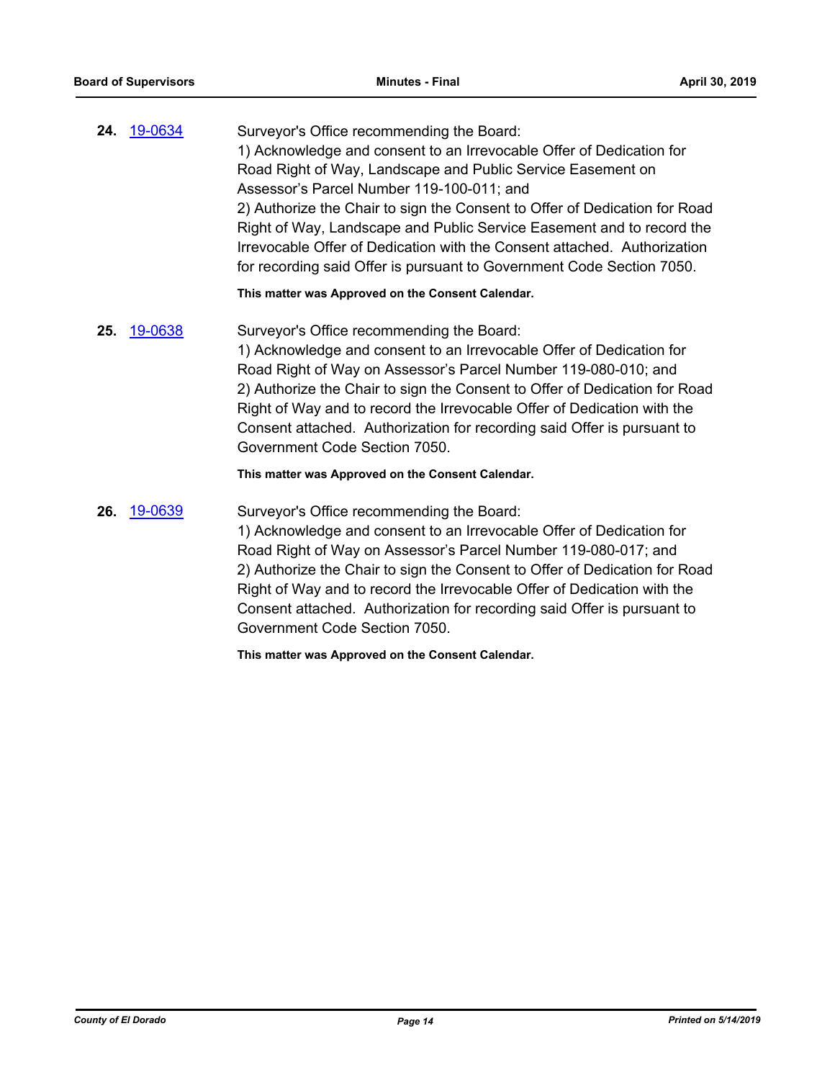**24.** [19-0634](http://eldorado.legistar.com/gateway.aspx?m=l&id=/matter.aspx?key=25956) Surveyor's Office recommending the Board: 1) Acknowledge and consent to an Irrevocable Offer of Dedication for Road Right of Way, Landscape and Public Service Easement on Assessor's Parcel Number 119-100-011; and 2) Authorize the Chair to sign the Consent to Offer of Dedication for Road Right of Way, Landscape and Public Service Easement and to record the Irrevocable Offer of Dedication with the Consent attached. Authorization for recording said Offer is pursuant to Government Code Section 7050.

**This matter was Approved on the Consent Calendar.**

**25.** [19-0638](http://eldorado.legistar.com/gateway.aspx?m=l&id=/matter.aspx?key=25960) Surveyor's Office recommending the Board: 1) Acknowledge and consent to an Irrevocable Offer of Dedication for Road Right of Way on Assessor's Parcel Number 119-080-010; and 2) Authorize the Chair to sign the Consent to Offer of Dedication for Road Right of Way and to record the Irrevocable Offer of Dedication with the Consent attached. Authorization for recording said Offer is pursuant to Government Code Section 7050.

#### **This matter was Approved on the Consent Calendar.**

**26.** [19-0639](http://eldorado.legistar.com/gateway.aspx?m=l&id=/matter.aspx?key=25961) Surveyor's Office recommending the Board:

1) Acknowledge and consent to an Irrevocable Offer of Dedication for Road Right of Way on Assessor's Parcel Number 119-080-017; and 2) Authorize the Chair to sign the Consent to Offer of Dedication for Road Right of Way and to record the Irrevocable Offer of Dedication with the Consent attached. Authorization for recording said Offer is pursuant to Government Code Section 7050.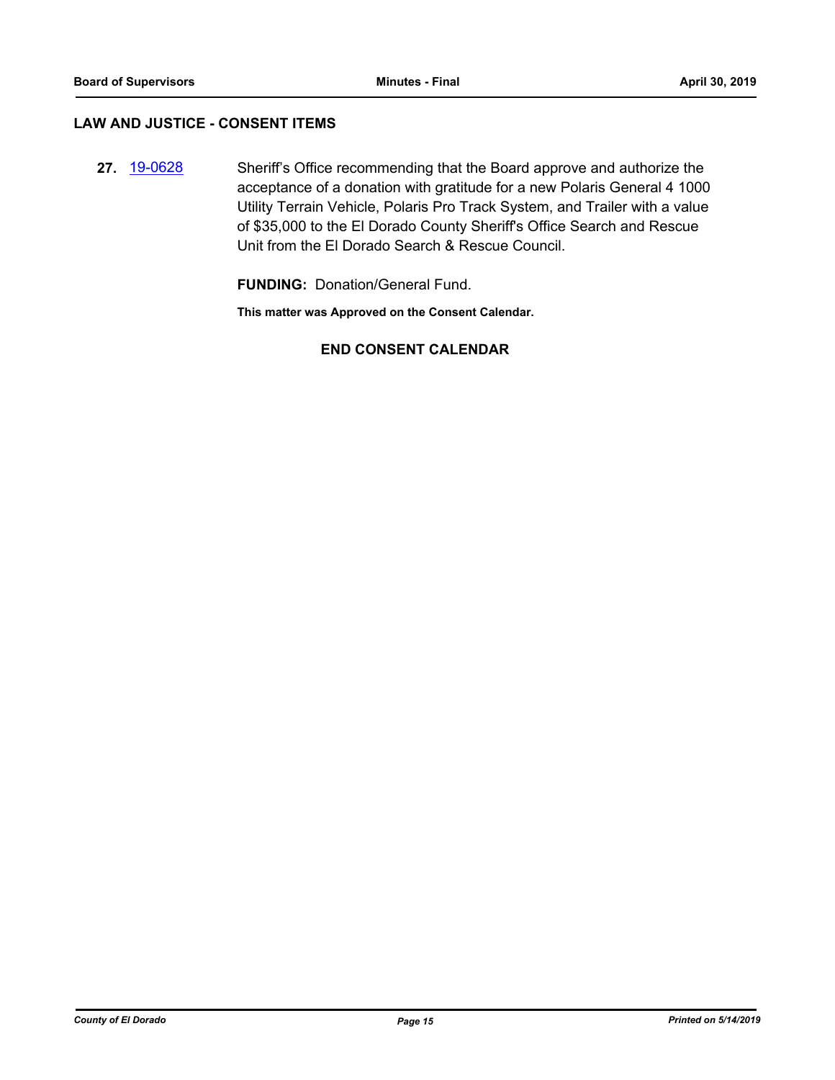### **LAW AND JUSTICE - CONSENT ITEMS**

**27.** [19-0628](http://eldorado.legistar.com/gateway.aspx?m=l&id=/matter.aspx?key=25950) Sheriff's Office recommending that the Board approve and authorize the acceptance of a donation with gratitude for a new Polaris General 4 1000 Utility Terrain Vehicle, Polaris Pro Track System, and Trailer with a value of \$35,000 to the El Dorado County Sheriff's Office Search and Rescue Unit from the El Dorado Search & Rescue Council.

**FUNDING:** Donation/General Fund.

**This matter was Approved on the Consent Calendar.**

# **END CONSENT CALENDAR**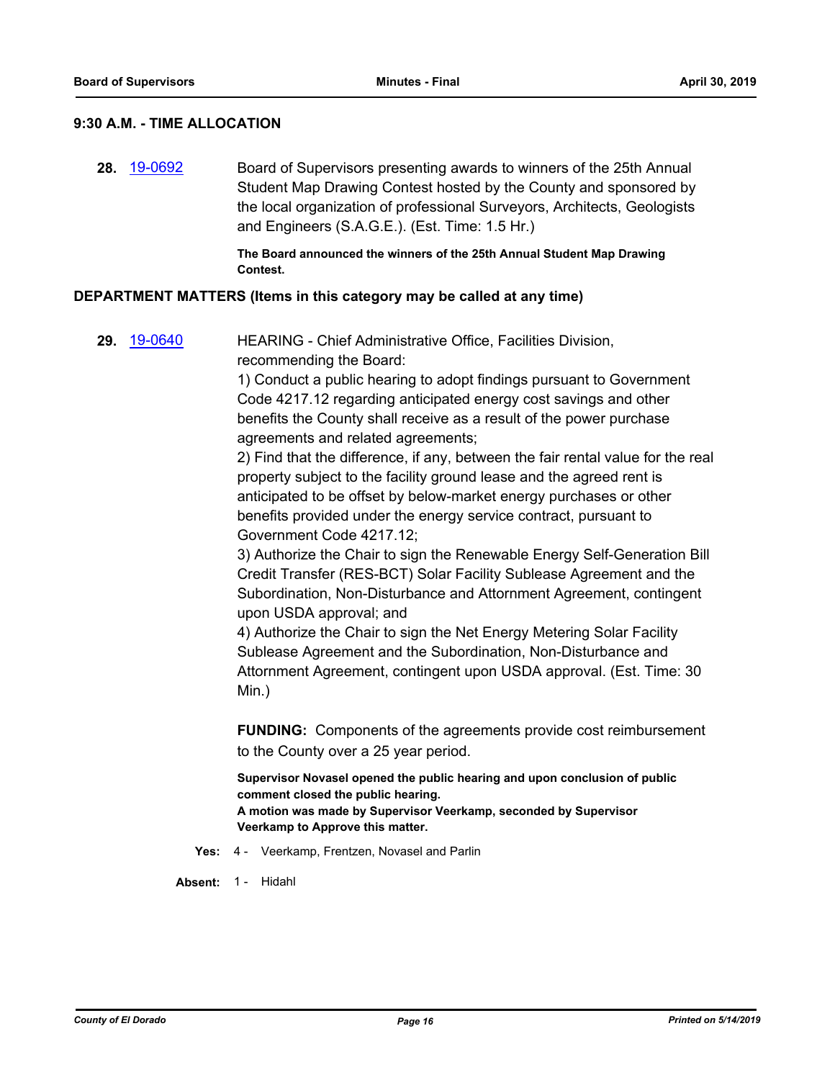#### **9:30 A.M. - TIME ALLOCATION**

**28.** [19-0692](http://eldorado.legistar.com/gateway.aspx?m=l&id=/matter.aspx?key=26014) Board of Supervisors presenting awards to winners of the 25th Annual Student Map Drawing Contest hosted by the County and sponsored by the local organization of professional Surveyors, Architects, Geologists and Engineers (S.A.G.E.). (Est. Time: 1.5 Hr.)

> **The Board announced the winners of the 25th Annual Student Map Drawing Contest.**

#### **DEPARTMENT MATTERS (Items in this category may be called at any time)**

**29.** [19-0640](http://eldorado.legistar.com/gateway.aspx?m=l&id=/matter.aspx?key=25962) HEARING - Chief Administrative Office, Facilities Division, recommending the Board:

> 1) Conduct a public hearing to adopt findings pursuant to Government Code 4217.12 regarding anticipated energy cost savings and other benefits the County shall receive as a result of the power purchase agreements and related agreements;

2) Find that the difference, if any, between the fair rental value for the real property subject to the facility ground lease and the agreed rent is anticipated to be offset by below-market energy purchases or other benefits provided under the energy service contract, pursuant to Government Code 4217.12;

3) Authorize the Chair to sign the Renewable Energy Self-Generation Bill Credit Transfer (RES-BCT) Solar Facility Sublease Agreement and the Subordination, Non-Disturbance and Attornment Agreement, contingent upon USDA approval; and

4) Authorize the Chair to sign the Net Energy Metering Solar Facility Sublease Agreement and the Subordination, Non-Disturbance and Attornment Agreement, contingent upon USDA approval. (Est. Time: 30 Min.)

**FUNDING:** Components of the agreements provide cost reimbursement to the County over a 25 year period.

**Supervisor Novasel opened the public hearing and upon conclusion of public comment closed the public hearing. A motion was made by Supervisor Veerkamp, seconded by Supervisor Veerkamp to Approve this matter.**

**Yes:** 4 - Veerkamp, Frentzen, Novasel and Parlin

**Absent:** 1 - Hidahl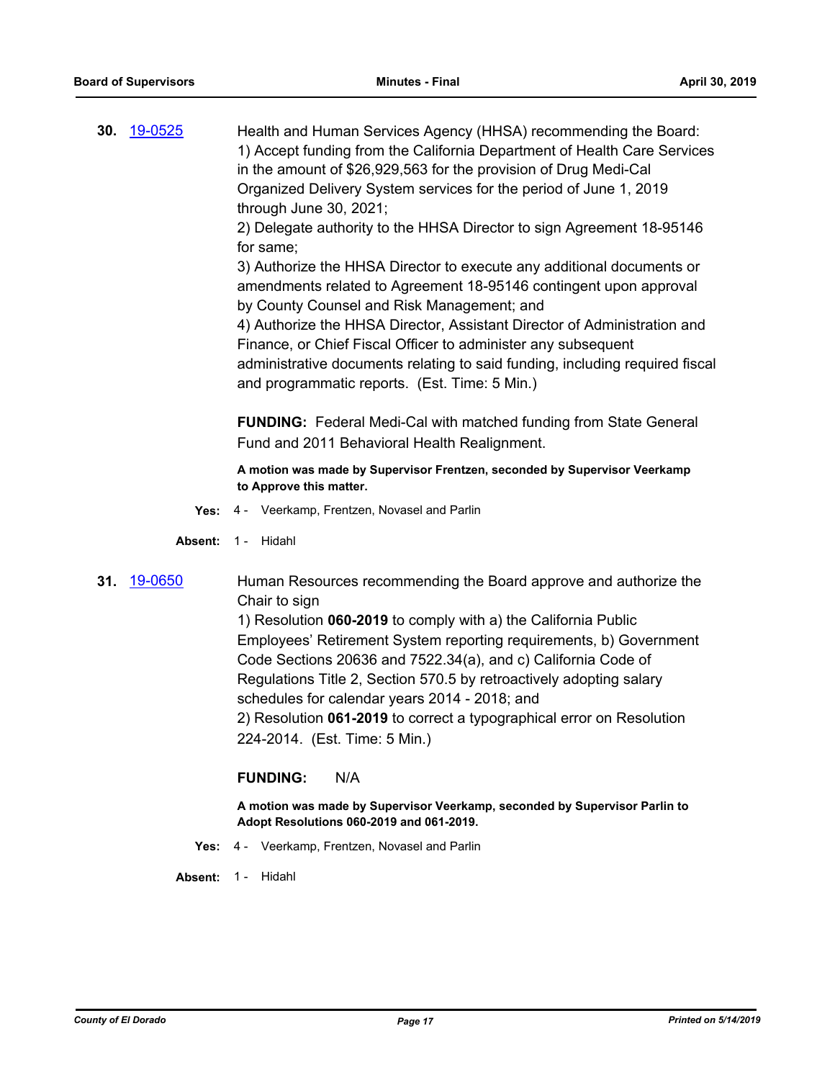**30.** [19-0525](http://eldorado.legistar.com/gateway.aspx?m=l&id=/matter.aspx?key=25846) Health and Human Services Agency (HHSA) recommending the Board: 1) Accept funding from the California Department of Health Care Services in the amount of \$26,929,563 for the provision of Drug Medi-Cal Organized Delivery System services for the period of June 1, 2019 through June 30, 2021;

> 2) Delegate authority to the HHSA Director to sign Agreement 18-95146 for same;

> 3) Authorize the HHSA Director to execute any additional documents or amendments related to Agreement 18-95146 contingent upon approval by County Counsel and Risk Management; and

4) Authorize the HHSA Director, Assistant Director of Administration and Finance, or Chief Fiscal Officer to administer any subsequent administrative documents relating to said funding, including required fiscal and programmatic reports. (Est. Time: 5 Min.)

**FUNDING:** Federal Medi-Cal with matched funding from State General Fund and 2011 Behavioral Health Realignment.

**A motion was made by Supervisor Frentzen, seconded by Supervisor Veerkamp to Approve this matter.**

- **Yes:** 4 Veerkamp, Frentzen, Novasel and Parlin
- **Absent:** 1 Hidahl

**31.** [19-0650](http://eldorado.legistar.com/gateway.aspx?m=l&id=/matter.aspx?key=25972) Human Resources recommending the Board approve and authorize the Chair to sign

> 1) Resolution **060-2019** to comply with a) the California Public Employees' Retirement System reporting requirements, b) Government Code Sections 20636 and 7522.34(a), and c) California Code of Regulations Title 2, Section 570.5 by retroactively adopting salary schedules for calendar years 2014 - 2018; and 2) Resolution **061-2019** to correct a typographical error on Resolution 224-2014. (Est. Time: 5 Min.)

#### **FUNDING:** N/A

**A motion was made by Supervisor Veerkamp, seconded by Supervisor Parlin to Adopt Resolutions 060-2019 and 061-2019.**

**Yes:** 4 - Veerkamp, Frentzen, Novasel and Parlin

**Absent:** 1 - Hidahl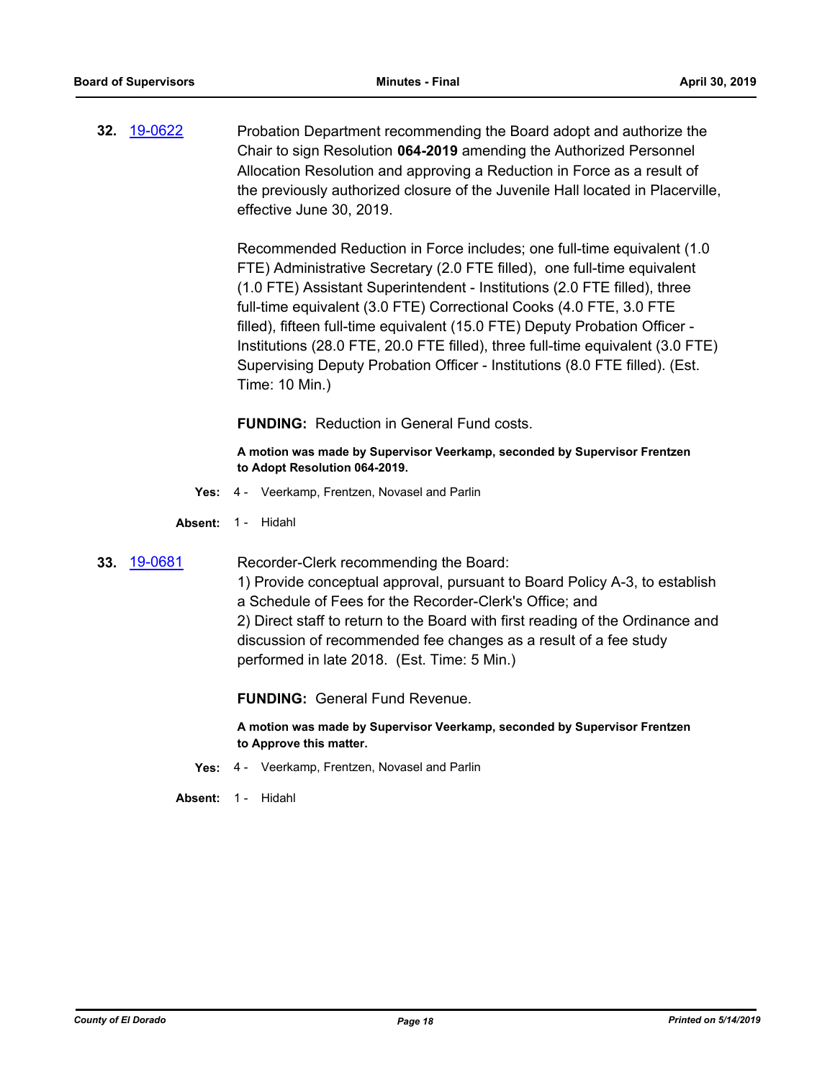**32.** [19-0622](http://eldorado.legistar.com/gateway.aspx?m=l&id=/matter.aspx?key=25943) Probation Department recommending the Board adopt and authorize the Chair to sign Resolution **064-2019** amending the Authorized Personnel Allocation Resolution and approving a Reduction in Force as a result of the previously authorized closure of the Juvenile Hall located in Placerville, effective June 30, 2019.

> Recommended Reduction in Force includes; one full-time equivalent (1.0 FTE) Administrative Secretary (2.0 FTE filled), one full-time equivalent (1.0 FTE) Assistant Superintendent - Institutions (2.0 FTE filled), three full-time equivalent (3.0 FTE) Correctional Cooks (4.0 FTE, 3.0 FTE filled), fifteen full-time equivalent (15.0 FTE) Deputy Probation Officer - Institutions (28.0 FTE, 20.0 FTE filled), three full-time equivalent (3.0 FTE) Supervising Deputy Probation Officer - Institutions (8.0 FTE filled). (Est. Time: 10 Min.)

**FUNDING:** Reduction in General Fund costs.

**A motion was made by Supervisor Veerkamp, seconded by Supervisor Frentzen to Adopt Resolution 064-2019.**

**Yes:** 4 - Veerkamp, Frentzen, Novasel and Parlin

**Absent:** 1 - Hidahl

**33.** [19-0681](http://eldorado.legistar.com/gateway.aspx?m=l&id=/matter.aspx?key=26003) Recorder-Clerk recommending the Board:

1) Provide conceptual approval, pursuant to Board Policy A-3, to establish a Schedule of Fees for the Recorder-Clerk's Office; and 2) Direct staff to return to the Board with first reading of the Ordinance and discussion of recommended fee changes as a result of a fee study performed in late 2018. (Est. Time: 5 Min.)

**FUNDING:** General Fund Revenue.

**A motion was made by Supervisor Veerkamp, seconded by Supervisor Frentzen to Approve this matter.**

- **Yes:** 4 Veerkamp, Frentzen, Novasel and Parlin
- Absent: 1 Hidahl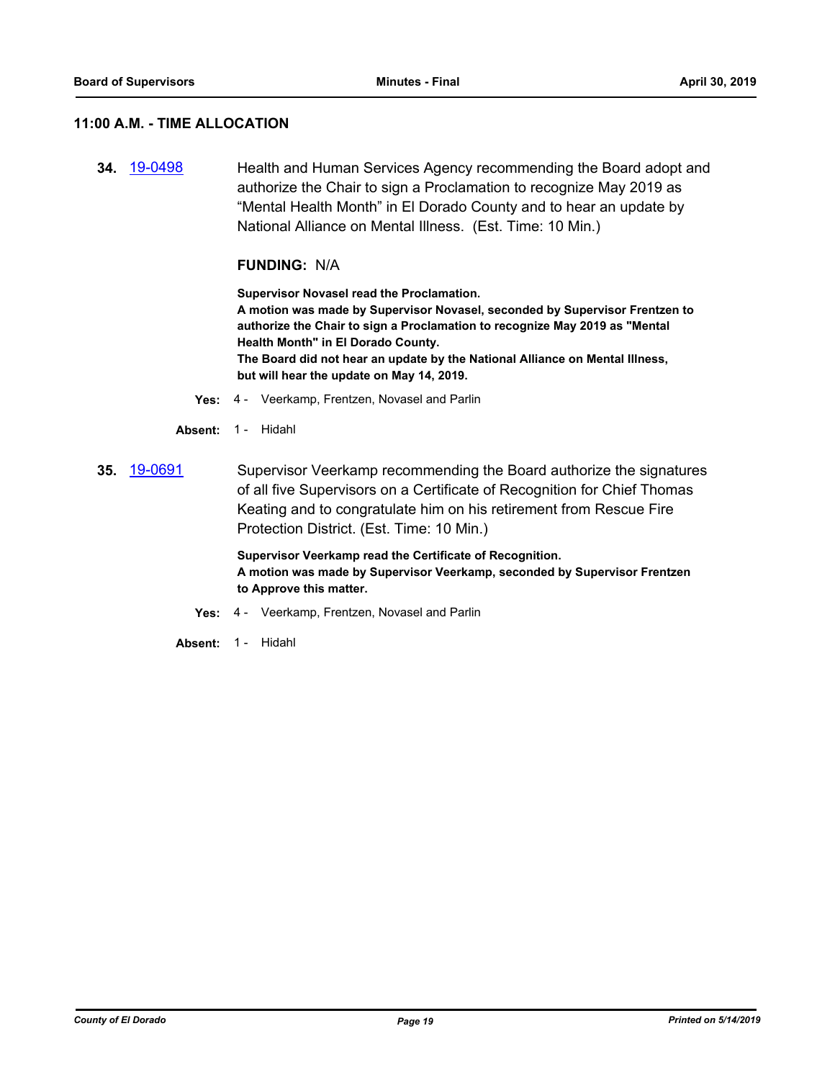#### **11:00 A.M. - TIME ALLOCATION**

**34.** [19-0498](http://eldorado.legistar.com/gateway.aspx?m=l&id=/matter.aspx?key=25819) Health and Human Services Agency recommending the Board adopt and authorize the Chair to sign a Proclamation to recognize May 2019 as "Mental Health Month" in El Dorado County and to hear an update by National Alliance on Mental Illness. (Est. Time: 10 Min.)

#### **FUNDING:** N/A

**Supervisor Novasel read the Proclamation. A motion was made by Supervisor Novasel, seconded by Supervisor Frentzen to authorize the Chair to sign a Proclamation to recognize May 2019 as "Mental Health Month" in El Dorado County. The Board did not hear an update by the National Alliance on Mental Illness, but will hear the update on May 14, 2019.**

- **Yes:** 4 Veerkamp, Frentzen, Novasel and Parlin
- **Absent:** 1 Hidahl
- **35.** [19-0691](http://eldorado.legistar.com/gateway.aspx?m=l&id=/matter.aspx?key=26013) Supervisor Veerkamp recommending the Board authorize the signatures of all five Supervisors on a Certificate of Recognition for Chief Thomas Keating and to congratulate him on his retirement from Rescue Fire Protection District. (Est. Time: 10 Min.)

**Supervisor Veerkamp read the Certificate of Recognition. A motion was made by Supervisor Veerkamp, seconded by Supervisor Frentzen to Approve this matter.**

- **Yes:** 4 Veerkamp, Frentzen, Novasel and Parlin
- **Absent:** 1 Hidahl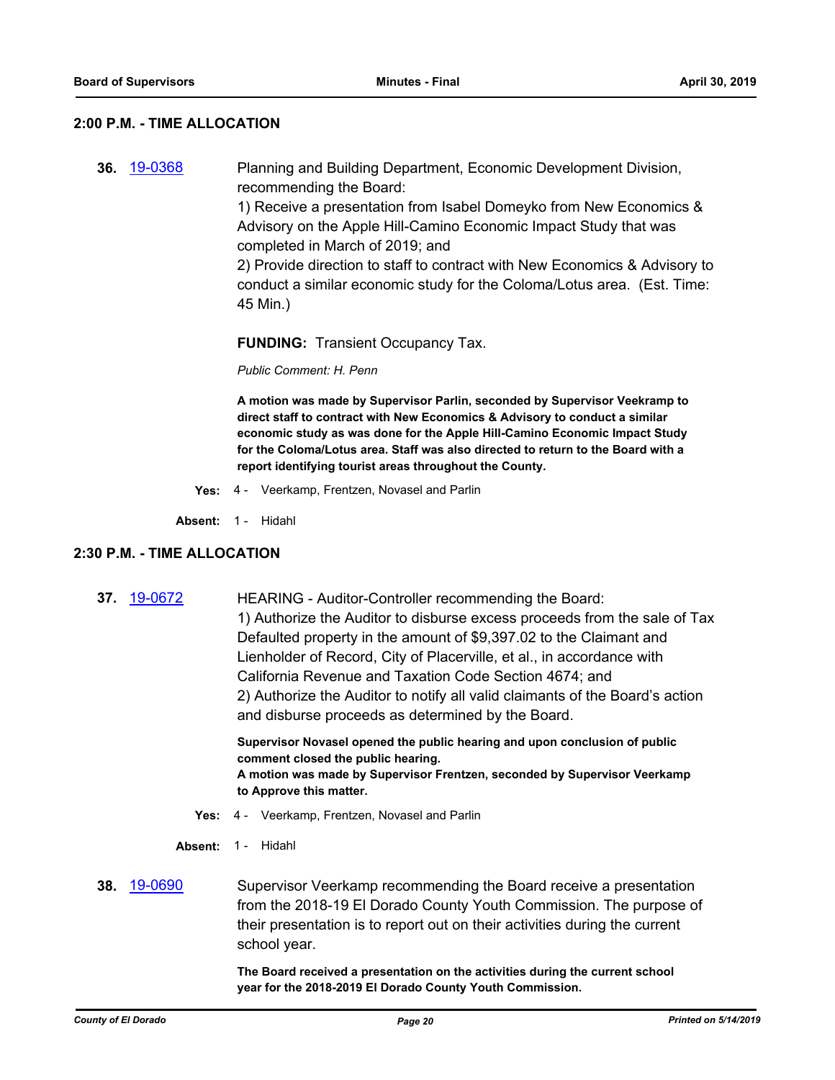#### **2:00 P.M. - TIME ALLOCATION**

**36.** [19-0368](http://eldorado.legistar.com/gateway.aspx?m=l&id=/matter.aspx?key=25689) Planning and Building Department, Economic Development Division, recommending the Board:

> 1) Receive a presentation from Isabel Domeyko from New Economics & Advisory on the Apple Hill-Camino Economic Impact Study that was completed in March of 2019; and

2) Provide direction to staff to contract with New Economics & Advisory to conduct a similar economic study for the Coloma/Lotus area. (Est. Time: 45 Min.)

**FUNDING:** Transient Occupancy Tax.

*Public Comment: H. Penn*

**A motion was made by Supervisor Parlin, seconded by Supervisor Veekramp to direct staff to contract with New Economics & Advisory to conduct a similar economic study as was done for the Apple Hill-Camino Economic Impact Study for the Coloma/Lotus area. Staff was also directed to return to the Board with a report identifying tourist areas throughout the County.**

**Yes:** 4 - Veerkamp, Frentzen, Novasel and Parlin

**Absent:** 1 - Hidahl

#### **2:30 P.M. - TIME ALLOCATION**

**37.** [19-0672](http://eldorado.legistar.com/gateway.aspx?m=l&id=/matter.aspx?key=25994) HEARING - Auditor-Controller recommending the Board: 1) Authorize the Auditor to disburse excess proceeds from the sale of Tax Defaulted property in the amount of \$9,397.02 to the Claimant and Lienholder of Record, City of Placerville, et al., in accordance with California Revenue and Taxation Code Section 4674; and 2) Authorize the Auditor to notify all valid claimants of the Board's action and disburse proceeds as determined by the Board.

> **Supervisor Novasel opened the public hearing and upon conclusion of public comment closed the public hearing. A motion was made by Supervisor Frentzen, seconded by Supervisor Veerkamp to Approve this matter.**

- **Yes:** 4 Veerkamp, Frentzen, Novasel and Parlin
- **Absent:** 1 Hidahl
- **38.** [19-0690](http://eldorado.legistar.com/gateway.aspx?m=l&id=/matter.aspx?key=26012) Supervisor Veerkamp recommending the Board receive a presentation from the 2018-19 El Dorado County Youth Commission. The purpose of their presentation is to report out on their activities during the current school year.

**The Board received a presentation on the activities during the current school year for the 2018-2019 El Dorado County Youth Commission.**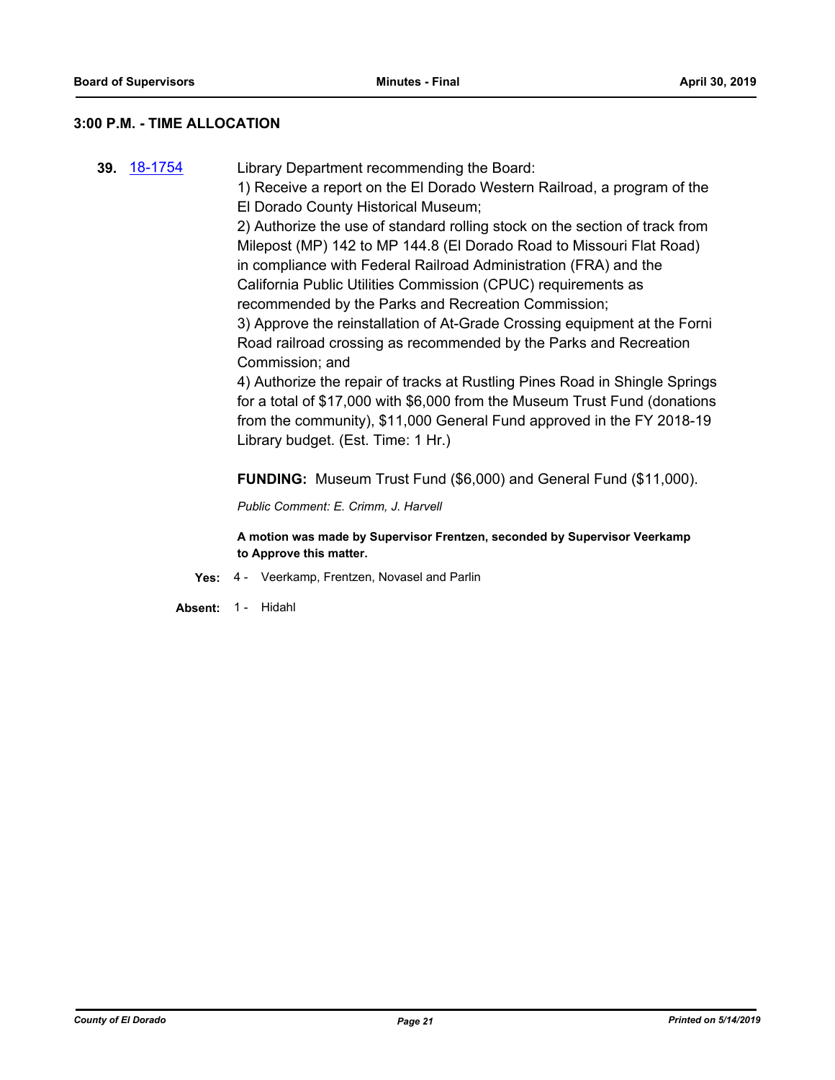#### **3:00 P.M. - TIME ALLOCATION**

- **39.** [18-1754](http://eldorado.legistar.com/gateway.aspx?m=l&id=/matter.aspx?key=25105) Library Department recommending the Board:
	- 1) Receive a report on the El Dorado Western Railroad, a program of the El Dorado County Historical Museum;

2) Authorize the use of standard rolling stock on the section of track from Milepost (MP) 142 to MP 144.8 (El Dorado Road to Missouri Flat Road) in compliance with Federal Railroad Administration (FRA) and the California Public Utilities Commission (CPUC) requirements as recommended by the Parks and Recreation Commission;

3) Approve the reinstallation of At-Grade Crossing equipment at the Forni Road railroad crossing as recommended by the Parks and Recreation Commission; and

4) Authorize the repair of tracks at Rustling Pines Road in Shingle Springs for a total of \$17,000 with \$6,000 from the Museum Trust Fund (donations from the community), \$11,000 General Fund approved in the FY 2018-19 Library budget. (Est. Time: 1 Hr.)

**FUNDING:** Museum Trust Fund (\$6,000) and General Fund (\$11,000).

*Public Comment: E. Crimm, J. Harvell*

**A motion was made by Supervisor Frentzen, seconded by Supervisor Veerkamp to Approve this matter.**

**Yes:** 4 - Veerkamp, Frentzen, Novasel and Parlin

**Absent:** 1 - Hidahl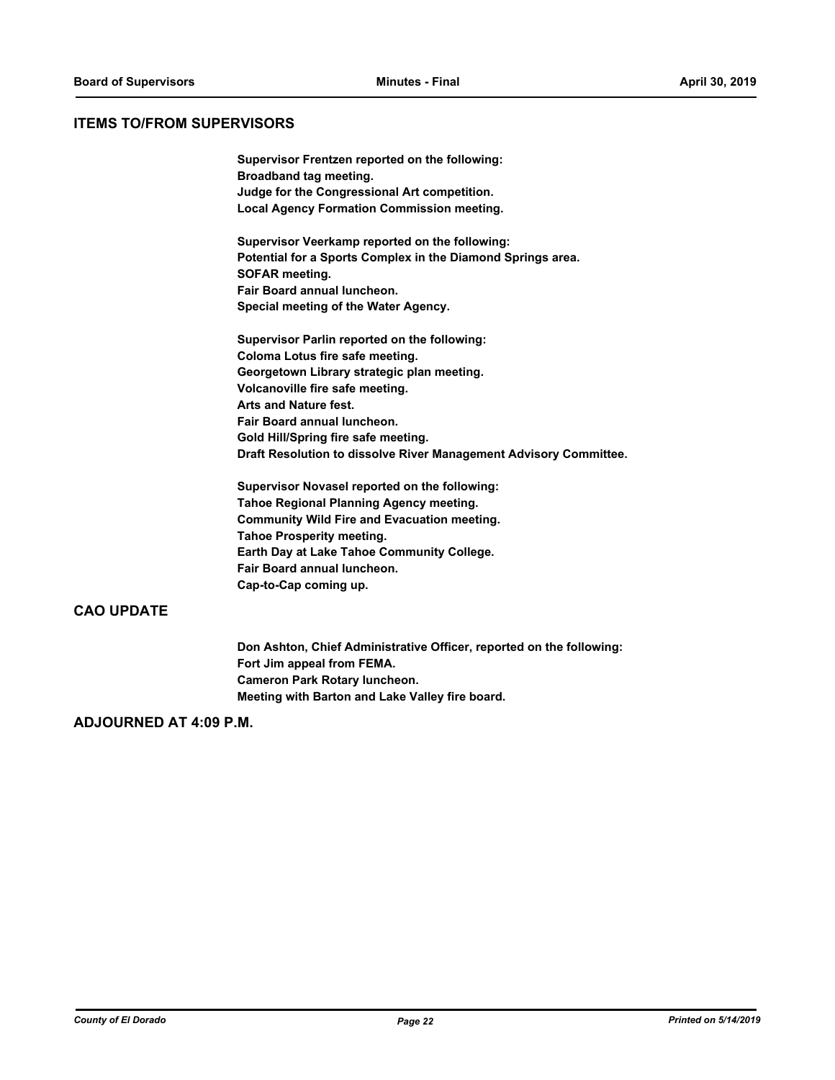#### **ITEMS TO/FROM SUPERVISORS**

**Supervisor Frentzen reported on the following: Broadband tag meeting. Judge for the Congressional Art competition. Local Agency Formation Commission meeting.**

**Supervisor Veerkamp reported on the following: Potential for a Sports Complex in the Diamond Springs area. SOFAR meeting. Fair Board annual luncheon. Special meeting of the Water Agency.**

**Supervisor Parlin reported on the following: Coloma Lotus fire safe meeting. Georgetown Library strategic plan meeting. Volcanoville fire safe meeting. Arts and Nature fest. Fair Board annual luncheon. Gold Hill/Spring fire safe meeting. Draft Resolution to dissolve River Management Advisory Committee.**

**Supervisor Novasel reported on the following: Tahoe Regional Planning Agency meeting. Community Wild Fire and Evacuation meeting. Tahoe Prosperity meeting. Earth Day at Lake Tahoe Community College. Fair Board annual luncheon. Cap-to-Cap coming up.**

# **CAO UPDATE**

**Don Ashton, Chief Administrative Officer, reported on the following: Fort Jim appeal from FEMA. Cameron Park Rotary luncheon. Meeting with Barton and Lake Valley fire board.**

# **ADJOURNED AT 4:09 P.M.**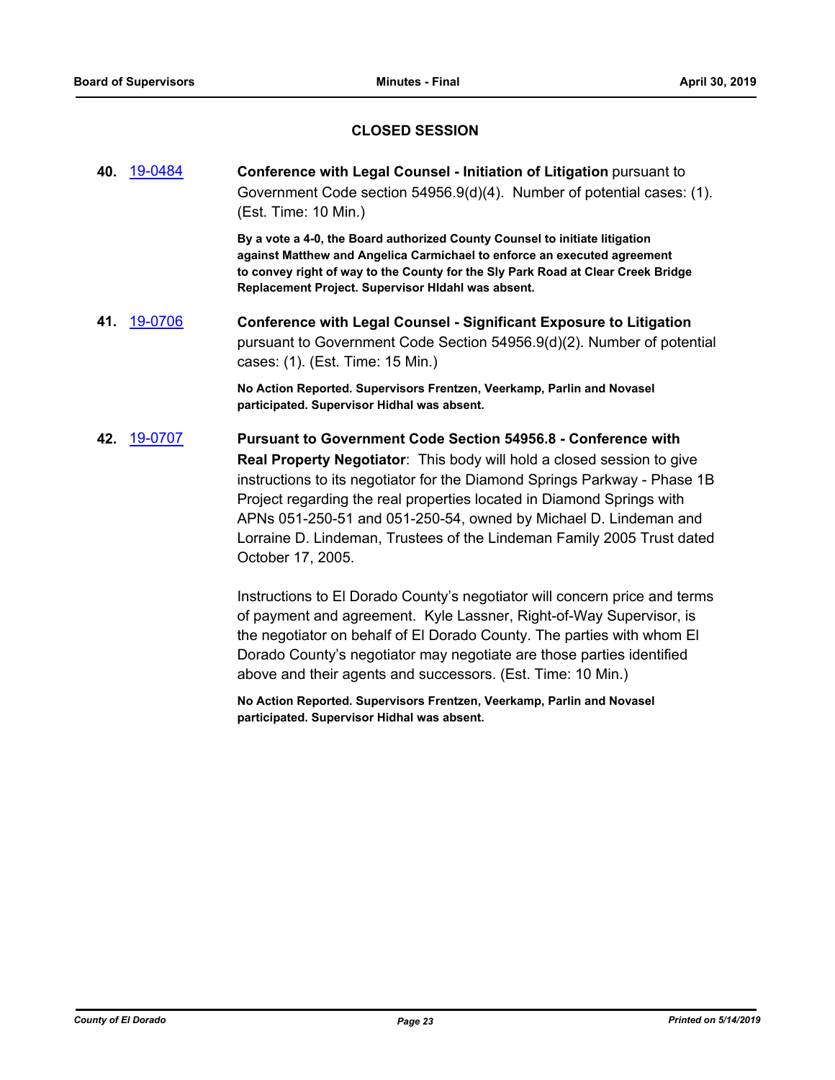# **CLOSED SESSION**

**40.** [19-0484](http://eldorado.legistar.com/gateway.aspx?m=l&id=/matter.aspx?key=25805) **Conference with Legal Counsel - Initiation of Litigation** pursuant to Government Code section 54956.9(d)(4). Number of potential cases: (1). (Est. Time: 10 Min.)

> **By a vote a 4-0, the Board authorized County Counsel to initiate litigation against Matthew and Angelica Carmichael to enforce an executed agreement to convey right of way to the County for the Sly Park Road at Clear Creek Bridge Replacement Project. Supervisor HIdahl was absent.**

**41.** [19-0706](http://eldorado.legistar.com/gateway.aspx?m=l&id=/matter.aspx?key=26028) **Conference with Legal Counsel - Significant Exposure to Litigation** pursuant to Government Code Section 54956.9(d)(2). Number of potential cases: (1). (Est. Time: 15 Min.)

> **No Action Reported. Supervisors Frentzen, Veerkamp, Parlin and Novasel participated. Supervisor Hidhal was absent.**

**42.** [19-0707](http://eldorado.legistar.com/gateway.aspx?m=l&id=/matter.aspx?key=26029) **Pursuant to Government Code Section 54956.8 - Conference with Real Property Negotiator**: This body will hold a closed session to give instructions to its negotiator for the Diamond Springs Parkway - Phase 1B Project regarding the real properties located in Diamond Springs with APNs 051-250-51 and 051-250-54, owned by Michael D. Lindeman and Lorraine D. Lindeman, Trustees of the Lindeman Family 2005 Trust dated October 17, 2005.

> Instructions to El Dorado County's negotiator will concern price and terms of payment and agreement. Kyle Lassner, Right-of-Way Supervisor, is the negotiator on behalf of El Dorado County. The parties with whom El Dorado County's negotiator may negotiate are those parties identified above and their agents and successors. (Est. Time: 10 Min.)

**No Action Reported. Supervisors Frentzen, Veerkamp, Parlin and Novasel participated. Supervisor Hidhal was absent.**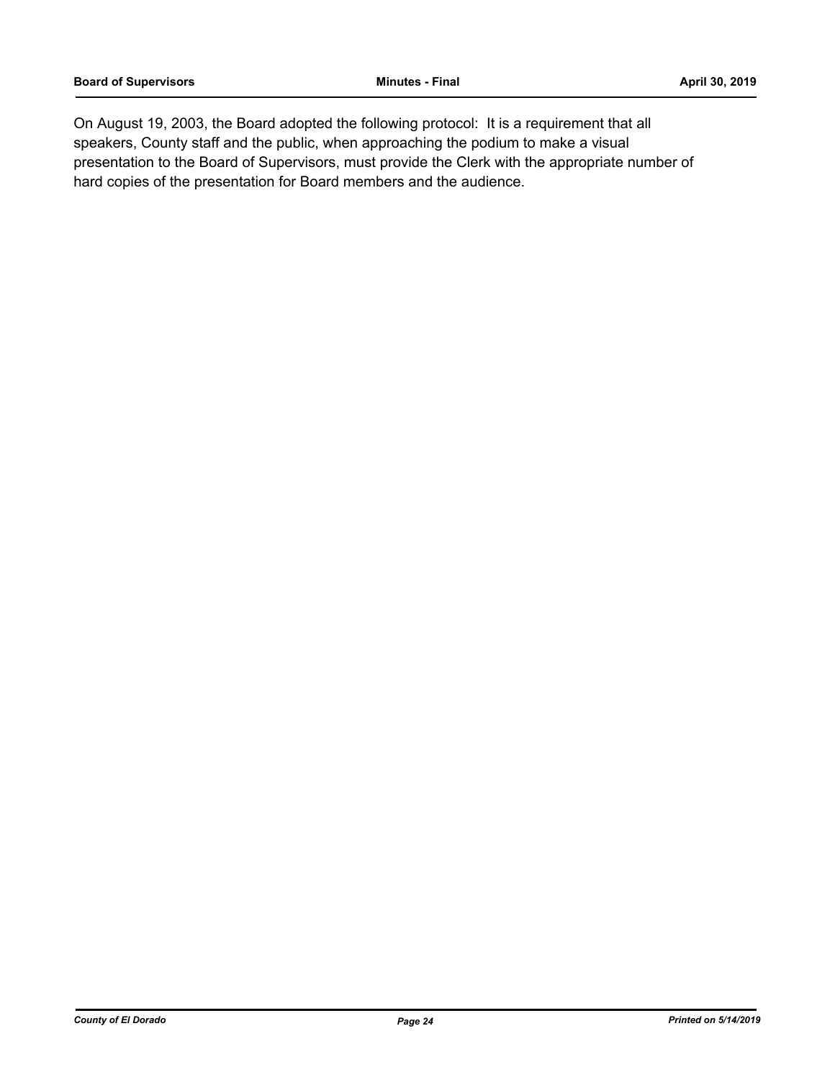On August 19, 2003, the Board adopted the following protocol: It is a requirement that all speakers, County staff and the public, when approaching the podium to make a visual presentation to the Board of Supervisors, must provide the Clerk with the appropriate number of hard copies of the presentation for Board members and the audience.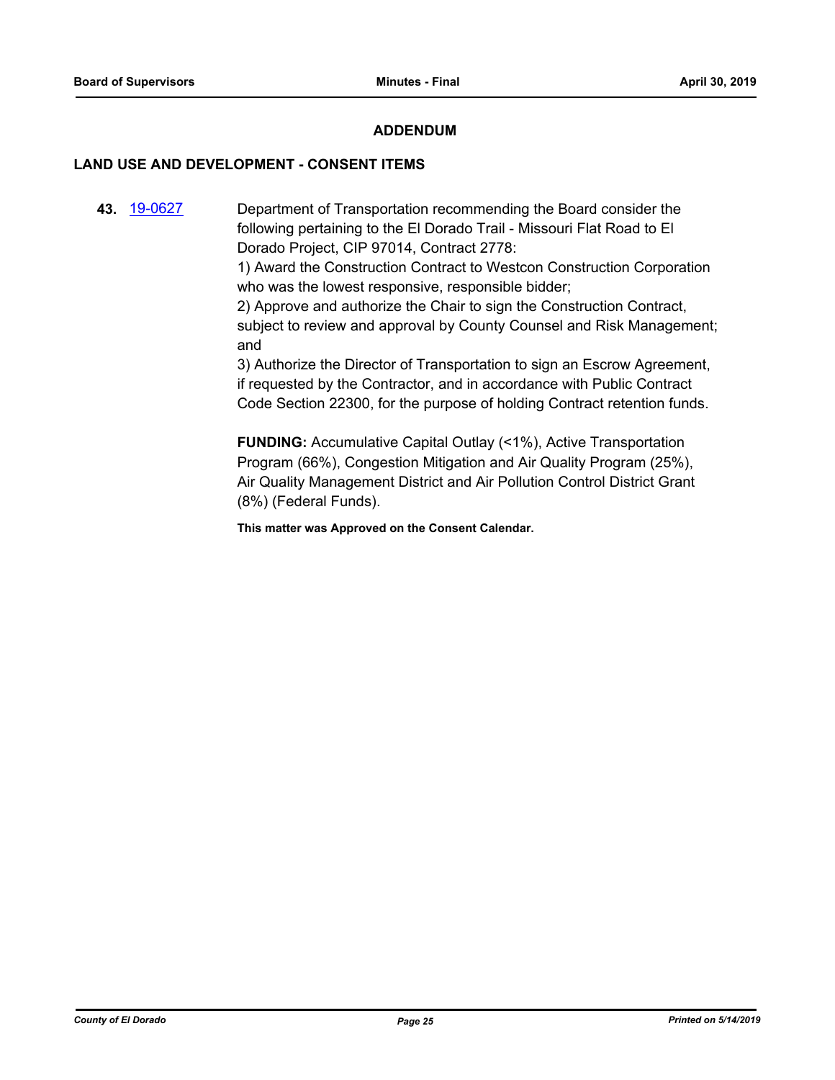### **ADDENDUM**

### **LAND USE AND DEVELOPMENT - CONSENT ITEMS**

**43.** [19-0627](http://eldorado.legistar.com/gateway.aspx?m=l&id=/matter.aspx?key=25949) Department of Transportation recommending the Board consider the following pertaining to the El Dorado Trail - Missouri Flat Road to El Dorado Project, CIP 97014, Contract 2778:

> 1) Award the Construction Contract to Westcon Construction Corporation who was the lowest responsive, responsible bidder;

> 2) Approve and authorize the Chair to sign the Construction Contract, subject to review and approval by County Counsel and Risk Management; and

3) Authorize the Director of Transportation to sign an Escrow Agreement, if requested by the Contractor, and in accordance with Public Contract Code Section 22300, for the purpose of holding Contract retention funds.

**FUNDING:** Accumulative Capital Outlay (<1%), Active Transportation Program (66%), Congestion Mitigation and Air Quality Program (25%), Air Quality Management District and Air Pollution Control District Grant (8%) (Federal Funds).